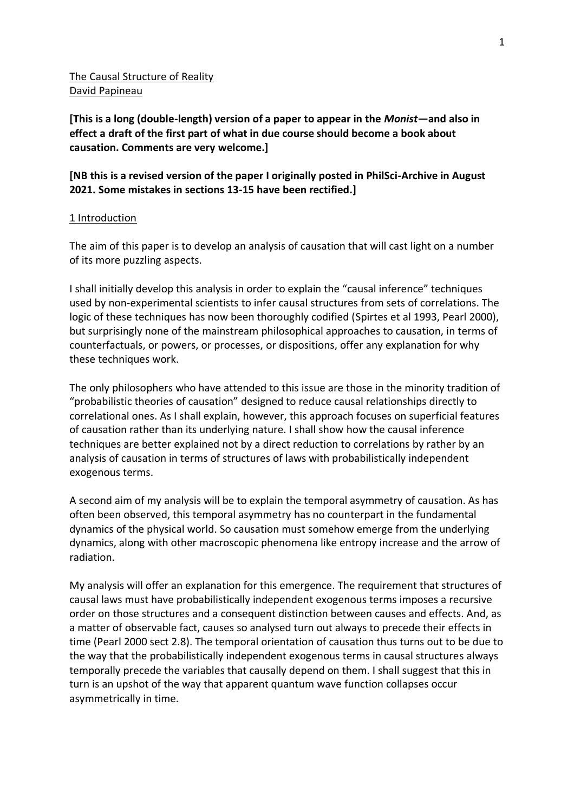## The Causal Structure of Reality David Papineau

**[This is a long (double-length) version of a paper to appear in the** *Monist***—and also in effect a draft of the first part of what in due course should become a book about causation. Comments are very welcome.]**

## **[NB this is a revised version of the paper I originally posted in PhilSci-Archive in August 2021. Some mistakes in sections 13-15 have been rectified.]**

## 1 Introduction

The aim of this paper is to develop an analysis of causation that will cast light on a number of its more puzzling aspects.

I shall initially develop this analysis in order to explain the "causal inference" techniques used by non-experimental scientists to infer causal structures from sets of correlations. The logic of these techniques has now been thoroughly codified (Spirtes et al 1993, Pearl 2000), but surprisingly none of the mainstream philosophical approaches to causation, in terms of counterfactuals, or powers, or processes, or dispositions, offer any explanation for why these techniques work.

The only philosophers who have attended to this issue are those in the minority tradition of "probabilistic theories of causation" designed to reduce causal relationships directly to correlational ones. As I shall explain, however, this approach focuses on superficial features of causation rather than its underlying nature. I shall show how the causal inference techniques are better explained not by a direct reduction to correlations by rather by an analysis of causation in terms of structures of laws with probabilistically independent exogenous terms.

A second aim of my analysis will be to explain the temporal asymmetry of causation. As has often been observed, this temporal asymmetry has no counterpart in the fundamental dynamics of the physical world. So causation must somehow emerge from the underlying dynamics, along with other macroscopic phenomena like entropy increase and the arrow of radiation.

My analysis will offer an explanation for this emergence. The requirement that structures of causal laws must have probabilistically independent exogenous terms imposes a recursive order on those structures and a consequent distinction between causes and effects. And, as a matter of observable fact, causes so analysed turn out always to precede their effects in time (Pearl 2000 sect 2.8). The temporal orientation of causation thus turns out to be due to the way that the probabilistically independent exogenous terms in causal structures always temporally precede the variables that causally depend on them. I shall suggest that this in turn is an upshot of the way that apparent quantum wave function collapses occur asymmetrically in time.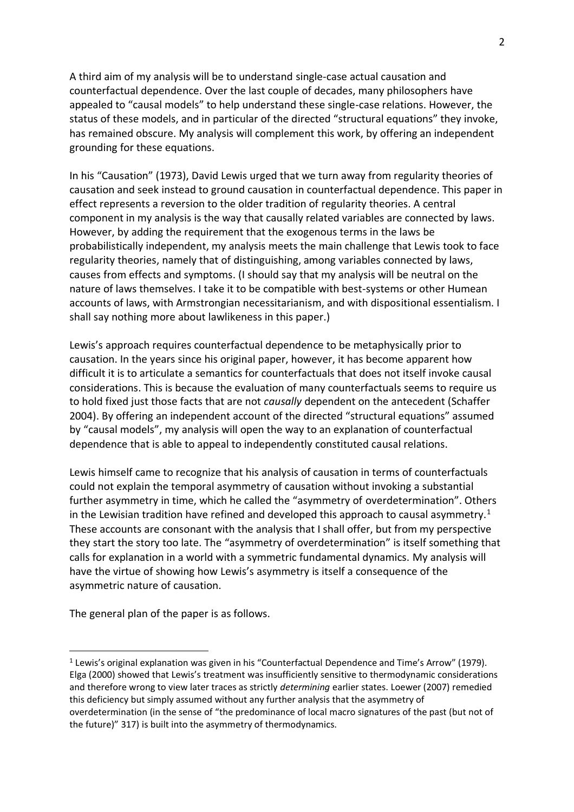A third aim of my analysis will be to understand single-case actual causation and counterfactual dependence. Over the last couple of decades, many philosophers have appealed to "causal models" to help understand these single-case relations. However, the status of these models, and in particular of the directed "structural equations" they invoke, has remained obscure. My analysis will complement this work, by offering an independent grounding for these equations.

In his "Causation" (1973), David Lewis urged that we turn away from regularity theories of causation and seek instead to ground causation in counterfactual dependence. This paper in effect represents a reversion to the older tradition of regularity theories. A central component in my analysis is the way that causally related variables are connected by laws. However, by adding the requirement that the exogenous terms in the laws be probabilistically independent, my analysis meets the main challenge that Lewis took to face regularity theories, namely that of distinguishing, among variables connected by laws, causes from effects and symptoms. (I should say that my analysis will be neutral on the nature of laws themselves. I take it to be compatible with best-systems or other Humean accounts of laws, with Armstrongian necessitarianism, and with dispositional essentialism. I shall say nothing more about lawlikeness in this paper.)

Lewis's approach requires counterfactual dependence to be metaphysically prior to causation. In the years since his original paper, however, it has become apparent how difficult it is to articulate a semantics for counterfactuals that does not itself invoke causal considerations. This is because the evaluation of many counterfactuals seems to require us to hold fixed just those facts that are not *causally* dependent on the antecedent (Schaffer 2004). By offering an independent account of the directed "structural equations" assumed by "causal models", my analysis will open the way to an explanation of counterfactual dependence that is able to appeal to independently constituted causal relations.

Lewis himself came to recognize that his analysis of causation in terms of counterfactuals could not explain the temporal asymmetry of causation without invoking a substantial further asymmetry in time, which he called the "asymmetry of overdetermination". Others in the Lewisian tradition have refined and developed this approach to causal asymmetry.<sup>1</sup> These accounts are consonant with the analysis that I shall offer, but from my perspective they start the story too late. The "asymmetry of overdetermination" is itself something that calls for explanation in a world with a symmetric fundamental dynamics. My analysis will have the virtue of showing how Lewis's asymmetry is itself a consequence of the asymmetric nature of causation.

The general plan of the paper is as follows.

<sup>1</sup> Lewis's original explanation was given in his "Counterfactual Dependence and Time's Arrow" (1979). Elga (2000) showed that Lewis's treatment was insufficiently sensitive to thermodynamic considerations and therefore wrong to view later traces as strictly *determining* earlier states. Loewer (2007) remedied this deficiency but simply assumed without any further analysis that the asymmetry of overdetermination (in the sense of "the predominance of local macro signatures of the past (but not of the future)" 317) is built into the asymmetry of thermodynamics.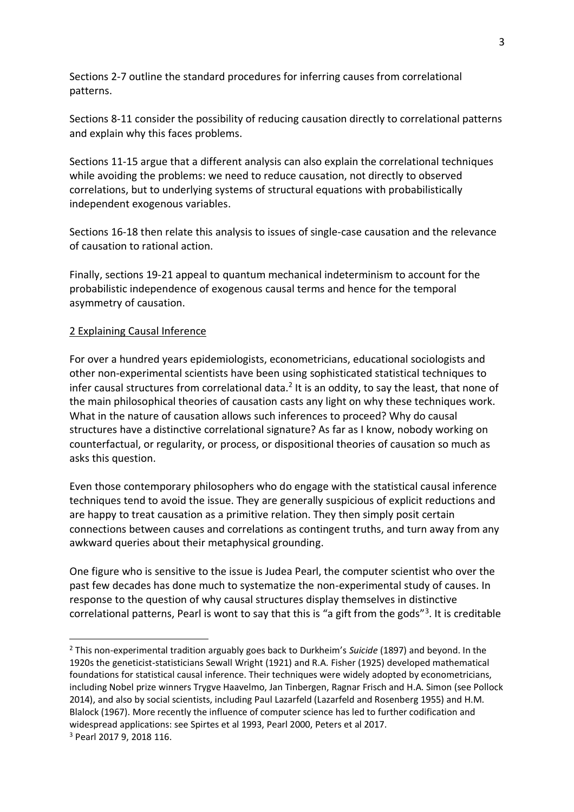Sections 2-7 outline the standard procedures for inferring causes from correlational patterns.

Sections 8-11 consider the possibility of reducing causation directly to correlational patterns and explain why this faces problems.

Sections 11-15 argue that a different analysis can also explain the correlational techniques while avoiding the problems: we need to reduce causation, not directly to observed correlations, but to underlying systems of structural equations with probabilistically independent exogenous variables.

Sections 16-18 then relate this analysis to issues of single-case causation and the relevance of causation to rational action.

Finally, sections 19-21 appeal to quantum mechanical indeterminism to account for the probabilistic independence of exogenous causal terms and hence for the temporal asymmetry of causation.

#### 2 Explaining Causal Inference

For over a hundred years epidemiologists, econometricians, educational sociologists and other non-experimental scientists have been using sophisticated statistical techniques to infer causal structures from correlational data.<sup>2</sup> It is an oddity, to say the least, that none of the main philosophical theories of causation casts any light on why these techniques work. What in the nature of causation allows such inferences to proceed? Why do causal structures have a distinctive correlational signature? As far as I know, nobody working on counterfactual, or regularity, or process, or dispositional theories of causation so much as asks this question.

Even those contemporary philosophers who do engage with the statistical causal inference techniques tend to avoid the issue. They are generally suspicious of explicit reductions and are happy to treat causation as a primitive relation. They then simply posit certain connections between causes and correlations as contingent truths, and turn away from any awkward queries about their metaphysical grounding.

One figure who is sensitive to the issue is Judea Pearl, the computer scientist who over the past few decades has done much to systematize the non-experimental study of causes. In response to the question of why causal structures display themselves in distinctive correlational patterns, Pearl is wont to say that this is "a gift from the gods"<sup>3</sup>. It is creditable

<sup>2</sup> This non-experimental tradition arguably goes back to Durkheim's *Suicide* (1897) and beyond. In the 1920s the geneticist-statisticians Sewall Wright (1921) and R.A. Fisher (1925) developed mathematical foundations for statistical causal inference. Their techniques were widely adopted by econometricians, including Nobel prize winners Trygve Haavelmo, Jan Tinbergen, Ragnar Frisch and H.A. Simon (see Pollock 2014), and also by social scientists, including Paul Lazarfeld (Lazarfeld and Rosenberg 1955) and H.M. Blalock (1967). More recently the influence of computer science has led to further codification and widespread applications: see Spirtes et al 1993, Pearl 2000, Peters et al 2017. <sup>3</sup> Pearl 2017 9, 2018 116.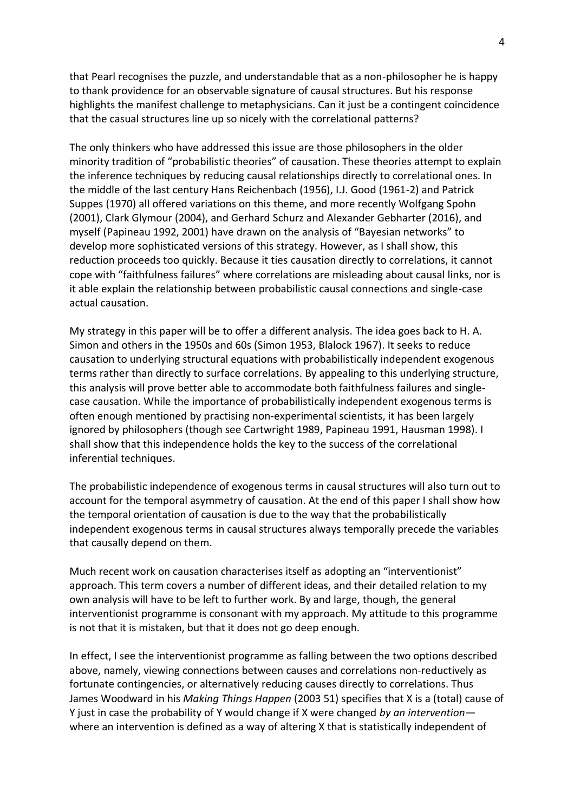that Pearl recognises the puzzle, and understandable that as a non-philosopher he is happy to thank providence for an observable signature of causal structures. But his response highlights the manifest challenge to metaphysicians. Can it just be a contingent coincidence that the casual structures line up so nicely with the correlational patterns?

The only thinkers who have addressed this issue are those philosophers in the older minority tradition of "probabilistic theories" of causation. These theories attempt to explain the inference techniques by reducing causal relationships directly to correlational ones. In the middle of the last century Hans Reichenbach (1956), I.J. Good (1961-2) and Patrick Suppes (1970) all offered variations on this theme, and more recently Wolfgang Spohn (2001), Clark Glymour (2004), and Gerhard Schurz and Alexander Gebharter (2016), and myself (Papineau 1992, 2001) have drawn on the analysis of "Bayesian networks" to develop more sophisticated versions of this strategy. However, as I shall show, this reduction proceeds too quickly. Because it ties causation directly to correlations, it cannot cope with "faithfulness failures" where correlations are misleading about causal links, nor is it able explain the relationship between probabilistic causal connections and single-case actual causation.

My strategy in this paper will be to offer a different analysis. The idea goes back to H. A. Simon and others in the 1950s and 60s (Simon 1953, Blalock 1967). It seeks to reduce causation to underlying structural equations with probabilistically independent exogenous terms rather than directly to surface correlations. By appealing to this underlying structure, this analysis will prove better able to accommodate both faithfulness failures and singlecase causation. While the importance of probabilistically independent exogenous terms is often enough mentioned by practising non-experimental scientists, it has been largely ignored by philosophers (though see Cartwright 1989, Papineau 1991, Hausman 1998). I shall show that this independence holds the key to the success of the correlational inferential techniques.

The probabilistic independence of exogenous terms in causal structures will also turn out to account for the temporal asymmetry of causation. At the end of this paper I shall show how the temporal orientation of causation is due to the way that the probabilistically independent exogenous terms in causal structures always temporally precede the variables that causally depend on them.

Much recent work on causation characterises itself as adopting an "interventionist" approach. This term covers a number of different ideas, and their detailed relation to my own analysis will have to be left to further work. By and large, though, the general interventionist programme is consonant with my approach. My attitude to this programme is not that it is mistaken, but that it does not go deep enough.

In effect, I see the interventionist programme as falling between the two options described above, namely, viewing connections between causes and correlations non-reductively as fortunate contingencies, or alternatively reducing causes directly to correlations. Thus James Woodward in his *Making Things Happen* (2003 51) specifies that X is a (total) cause of Y just in case the probability of Y would change if X were changed *by an intervention* where an intervention is defined as a way of altering X that is statistically independent of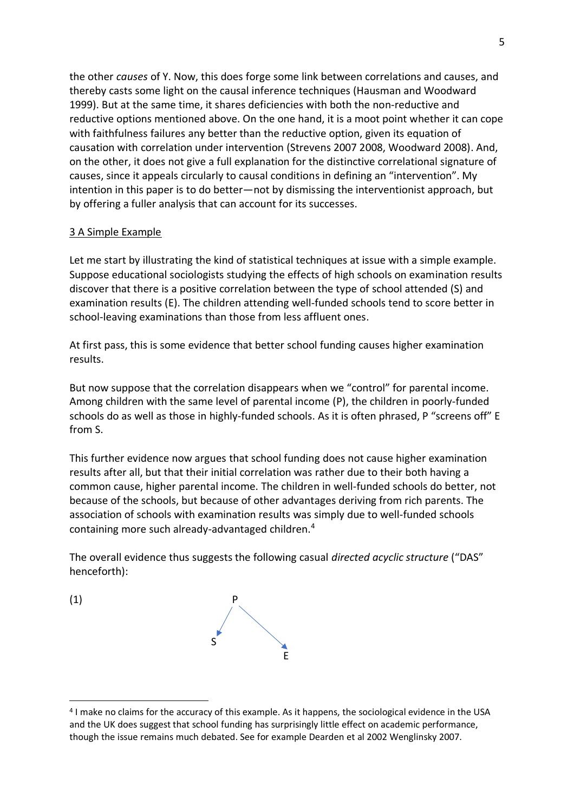the other *causes* of Y. Now, this does forge some link between correlations and causes, and thereby casts some light on the causal inference techniques (Hausman and Woodward 1999). But at the same time, it shares deficiencies with both the non-reductive and reductive options mentioned above. On the one hand, it is a moot point whether it can cope with faithfulness failures any better than the reductive option, given its equation of causation with correlation under intervention (Strevens 2007 2008, Woodward 2008). And, on the other, it does not give a full explanation for the distinctive correlational signature of causes, since it appeals circularly to causal conditions in defining an "intervention". My intention in this paper is to do better—not by dismissing the interventionist approach, but by offering a fuller analysis that can account for its successes.

## 3 A Simple Example

Let me start by illustrating the kind of statistical techniques at issue with a simple example. Suppose educational sociologists studying the effects of high schools on examination results discover that there is a positive correlation between the type of school attended (S) and examination results (E). The children attending well-funded schools tend to score better in school-leaving examinations than those from less affluent ones.

At first pass, this is some evidence that better school funding causes higher examination results.

But now suppose that the correlation disappears when we "control" for parental income. Among children with the same level of parental income (P), the children in poorly-funded schools do as well as those in highly-funded schools. As it is often phrased, P "screens off" E from S.

This further evidence now argues that school funding does not cause higher examination results after all, but that their initial correlation was rather due to their both having a common cause, higher parental income. The children in well-funded schools do better, not because of the schools, but because of other advantages deriving from rich parents. The association of schools with examination results was simply due to well-funded schools containing more such already-advantaged children.<sup>4</sup>

The overall evidence thus suggests the following casual *directed acyclic structure* ("DAS" henceforth):



<sup>&</sup>lt;sup>4</sup> I make no claims for the accuracy of this example. As it happens, the sociological evidence in the USA and the UK does suggest that school funding has surprisingly little effect on academic performance, though the issue remains much debated. See for example Dearden et al 2002 Wenglinsky 2007.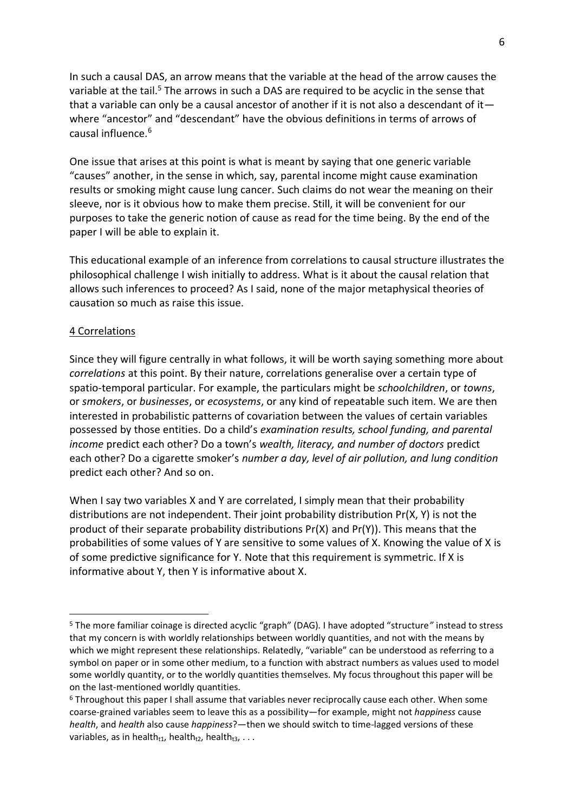In such a causal DAS, an arrow means that the variable at the head of the arrow causes the variable at the tail.<sup>5</sup> The arrows in such a DAS are required to be acyclic in the sense that that a variable can only be a causal ancestor of another if it is not also a descendant of it  $$ where "ancestor" and "descendant" have the obvious definitions in terms of arrows of causal influence.<sup>6</sup>

One issue that arises at this point is what is meant by saying that one generic variable "causes" another, in the sense in which, say, parental income might cause examination results or smoking might cause lung cancer. Such claims do not wear the meaning on their sleeve, nor is it obvious how to make them precise. Still, it will be convenient for our purposes to take the generic notion of cause as read for the time being. By the end of the paper I will be able to explain it.

This educational example of an inference from correlations to causal structure illustrates the philosophical challenge I wish initially to address. What is it about the causal relation that allows such inferences to proceed? As I said, none of the major metaphysical theories of causation so much as raise this issue.

#### 4 Correlations

Since they will figure centrally in what follows, it will be worth saying something more about *correlations* at this point. By their nature, correlations generalise over a certain type of spatio-temporal particular. For example, the particulars might be *schoolchildren*, or *towns*, or *smokers*, or *businesses*, or *ecosystems*, or any kind of repeatable such item. We are then interested in probabilistic patterns of covariation between the values of certain variables possessed by those entities. Do a child's *examination results, school funding, and parental income* predict each other? Do a town's *wealth, literacy, and number of doctors* predict each other? Do a cigarette smoker's *number a day, level of air pollution, and lung condition* predict each other? And so on.

When I say two variables X and Y are correlated, I simply mean that their probability distributions are not independent. Their joint probability distribution Pr(X, Y) is not the product of their separate probability distributions  $Pr(X)$  and  $Pr(Y)$ ). This means that the probabilities of some values of Y are sensitive to some values of X. Knowing the value of X is of some predictive significance for Y. Note that this requirement is symmetric. If X is informative about Y, then Y is informative about X.

<sup>5</sup> The more familiar coinage is directed acyclic "graph" (DAG). I have adopted "structure*"* instead to stress that my concern is with worldly relationships between worldly quantities, and not with the means by which we might represent these relationships. Relatedly, "variable" can be understood as referring to a symbol on paper or in some other medium, to a function with abstract numbers as values used to model some worldly quantity, or to the worldly quantities themselves. My focus throughout this paper will be on the last-mentioned worldly quantities.

<sup>6</sup> Throughout this paper I shall assume that variables never reciprocally cause each other. When some coarse-grained variables seem to leave this as a possibility—for example, might not *happiness* cause *health*, and *health* also cause *happiness*?—then we should switch to time-lagged versions of these variables, as in health $t_{11}$ , health $t_{2}$ , health $t_{3}$ , . . .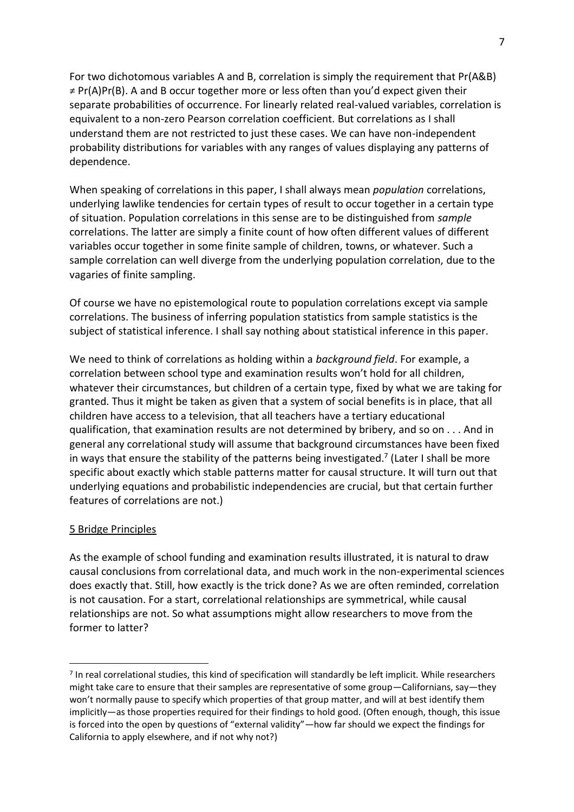For two dichotomous variables A and B, correlation is simply the requirement that Pr(A&B)  $\neq$  Pr(A)Pr(B). A and B occur together more or less often than you'd expect given their separate probabilities of occurrence. For linearly related real-valued variables, correlation is equivalent to a non-zero Pearson correlation coefficient. But correlations as I shall understand them are not restricted to just these cases. We can have non-independent probability distributions for variables with any ranges of values displaying any patterns of dependence.

When speaking of correlations in this paper, I shall always mean *population* correlations, underlying lawlike tendencies for certain types of result to occur together in a certain type of situation. Population correlations in this sense are to be distinguished from *sample* correlations. The latter are simply a finite count of how often different values of different variables occur together in some finite sample of children, towns, or whatever. Such a sample correlation can well diverge from the underlying population correlation, due to the vagaries of finite sampling.

Of course we have no epistemological route to population correlations except via sample correlations. The business of inferring population statistics from sample statistics is the subject of statistical inference. I shall say nothing about statistical inference in this paper.

We need to think of correlations as holding within a *background field*. For example, a correlation between school type and examination results won't hold for all children, whatever their circumstances, but children of a certain type, fixed by what we are taking for granted. Thus it might be taken as given that a system of social benefits is in place, that all children have access to a television, that all teachers have a tertiary educational qualification, that examination results are not determined by bribery, and so on . . . And in general any correlational study will assume that background circumstances have been fixed in ways that ensure the stability of the patterns being investigated.<sup>7</sup> (Later I shall be more specific about exactly which stable patterns matter for causal structure. It will turn out that underlying equations and probabilistic independencies are crucial, but that certain further features of correlations are not.)

## 5 Bridge Principles

As the example of school funding and examination results illustrated, it is natural to draw causal conclusions from correlational data, and much work in the non-experimental sciences does exactly that. Still, how exactly is the trick done? As we are often reminded, correlation is not causation. For a start, correlational relationships are symmetrical, while causal relationships are not. So what assumptions might allow researchers to move from the former to latter?

<sup>&</sup>lt;sup>7</sup> In real correlational studies, this kind of specification will standardly be left implicit. While researchers might take care to ensure that their samples are representative of some group—Californians, say—they won't normally pause to specify which properties of that group matter, and will at best identify them implicitly—as those properties required for their findings to hold good. (Often enough, though, this issue is forced into the open by questions of "external validity"—how far should we expect the findings for California to apply elsewhere, and if not why not?)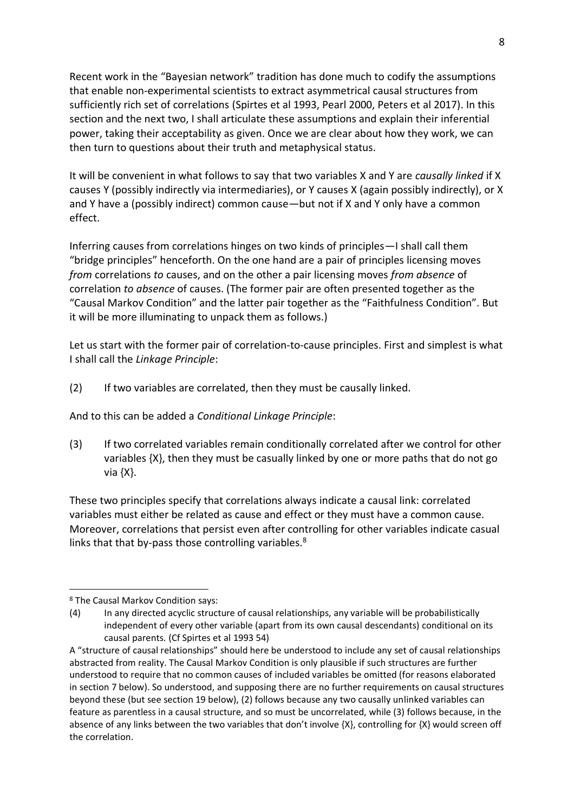Recent work in the "Bayesian network" tradition has done much to codify the assumptions that enable non-experimental scientists to extract asymmetrical causal structures from sufficiently rich set of correlations (Spirtes et al 1993, Pearl 2000, Peters et al 2017). In this section and the next two, I shall articulate these assumptions and explain their inferential power, taking their acceptability as given. Once we are clear about how they work, we can then turn to questions about their truth and metaphysical status.

It will be convenient in what follows to say that two variables X and Y are *causally linked* if X causes Y (possibly indirectly via intermediaries), or Y causes X (again possibly indirectly), or X and Y have a (possibly indirect) common cause—but not if X and Y only have a common effect.

Inferring causes from correlations hinges on two kinds of principles—I shall call them "bridge principles" henceforth. On the one hand are a pair of principles licensing moves *from* correlations *to* causes, and on the other a pair licensing moves *from absence* of correlation *to absence* of causes. (The former pair are often presented together as the "Causal Markov Condition" and the latter pair together as the "Faithfulness Condition". But it will be more illuminating to unpack them as follows.)

Let us start with the former pair of correlation-to-cause principles. First and simplest is what I shall call the *Linkage Principle*:

(2) If two variables are correlated, then they must be causally linked.

And to this can be added a *Conditional Linkage Principle*:

(3) If two correlated variables remain conditionally correlated after we control for other variables {X}, then they must be casually linked by one or more paths that do not go via {X}.

These two principles specify that correlations always indicate a causal link: correlated variables must either be related as cause and effect or they must have a common cause. Moreover, correlations that persist even after controlling for other variables indicate casual links that that by-pass those controlling variables.<sup>8</sup>

<sup>8</sup> The Causal Markov Condition says:

<sup>(4)</sup> In any directed acyclic structure of causal relationships, any variable will be probabilistically independent of every other variable (apart from its own causal descendants) conditional on its causal parents. (Cf Spirtes et al 1993 54)

A "structure of causal relationships" should here be understood to include any set of causal relationships abstracted from reality. The Causal Markov Condition is only plausible if such structures are further understood to require that no common causes of included variables be omitted (for reasons elaborated in section 7 below). So understood, and supposing there are no further requirements on causal structures beyond these (but see section 19 below), (2) follows because any two causally unlinked variables can feature as parentless in a causal structure, and so must be uncorrelated, while (3) follows because, in the absence of any links between the two variables that don't involve  $\{X\}$ , controlling for  $\{X\}$  would screen off the correlation.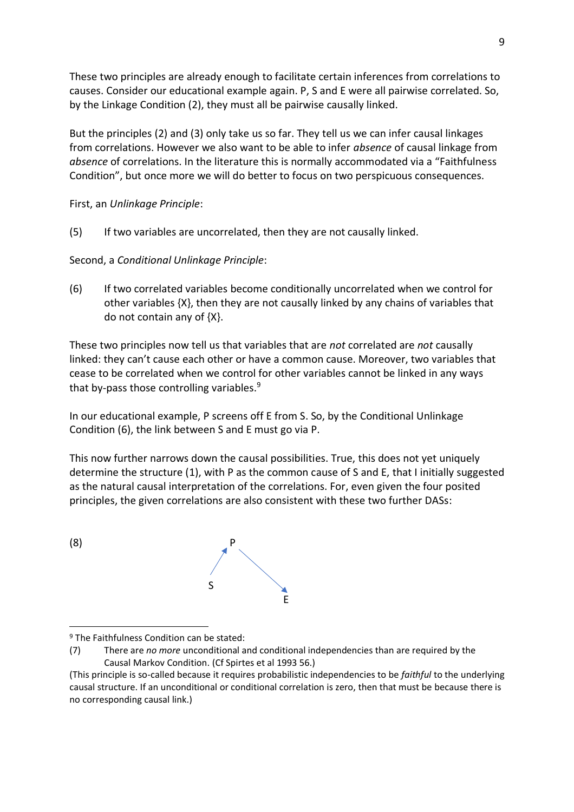These two principles are already enough to facilitate certain inferences from correlations to causes. Consider our educational example again. P, S and E were all pairwise correlated. So, by the Linkage Condition (2), they must all be pairwise causally linked.

But the principles (2) and (3) only take us so far. They tell us we can infer causal linkages from correlations. However we also want to be able to infer *absence* of causal linkage from *absence* of correlations. In the literature this is normally accommodated via a "Faithfulness Condition", but once more we will do better to focus on two perspicuous consequences.

First, an *Unlinkage Principle*:

(5) If two variables are uncorrelated, then they are not causally linked.

Second, a *Conditional Unlinkage Principle*:

(6) If two correlated variables become conditionally uncorrelated when we control for other variables {X}, then they are not causally linked by any chains of variables that do not contain any of {X}.

These two principles now tell us that variables that are *not* correlated are *not* causally linked: they can't cause each other or have a common cause. Moreover, two variables that cease to be correlated when we control for other variables cannot be linked in any ways that by-pass those controlling variables.<sup>9</sup>

In our educational example, P screens off E from S. So, by the Conditional Unlinkage Condition (6), the link between S and E must go via P.

This now further narrows down the causal possibilities. True, this does not yet uniquely determine the structure (1), with P as the common cause of S and E, that I initially suggested as the natural causal interpretation of the correlations. For, even given the four posited principles, the given correlations are also consistent with these two further DASs:



<sup>9</sup> The Faithfulness Condition can be stated:

<sup>(7)</sup> There are *no more* unconditional and conditional independencies than are required by the Causal Markov Condition. (Cf Spirtes et al 1993 56.)

<sup>(</sup>This principle is so-called because it requires probabilistic independencies to be *faithful* to the underlying causal structure. If an unconditional or conditional correlation is zero, then that must be because there is no corresponding causal link.)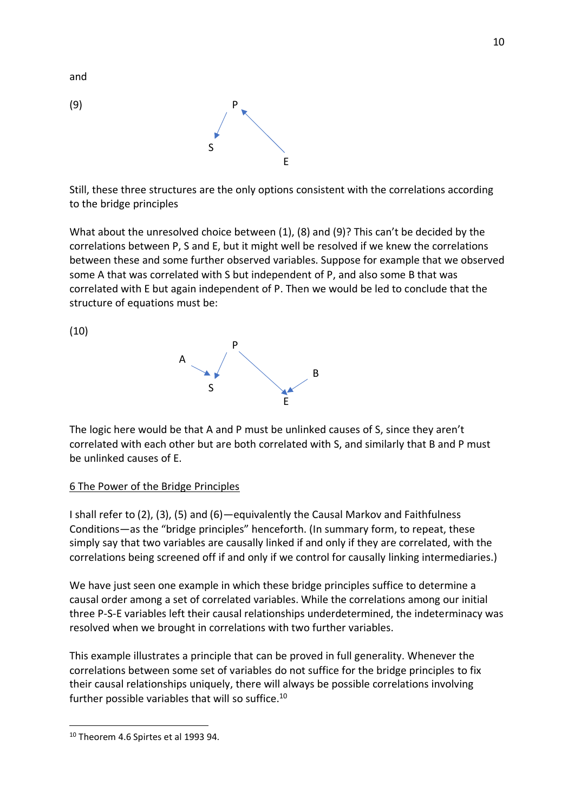

Still, these three structures are the only options consistent with the correlations according to the bridge principles

What about the unresolved choice between (1), (8) and (9)? This can't be decided by the correlations between P, S and E, but it might well be resolved if we knew the correlations between these and some further observed variables. Suppose for example that we observed some A that was correlated with S but independent of P, and also some B that was correlated with E but again independent of P. Then we would be led to conclude that the structure of equations must be:

(10)



The logic here would be that A and P must be unlinked causes of S, since they aren't correlated with each other but are both correlated with S, and similarly that B and P must be unlinked causes of E.

## 6 The Power of the Bridge Principles

I shall refer to (2), (3), (5) and (6)—equivalently the Causal Markov and Faithfulness Conditions—as the "bridge principles" henceforth. (In summary form, to repeat, these simply say that two variables are causally linked if and only if they are correlated, with the correlations being screened off if and only if we control for causally linking intermediaries.)

We have just seen one example in which these bridge principles suffice to determine a causal order among a set of correlated variables. While the correlations among our initial three P-S-E variables left their causal relationships underdetermined, the indeterminacy was resolved when we brought in correlations with two further variables.

This example illustrates a principle that can be proved in full generality. Whenever the correlations between some set of variables do not suffice for the bridge principles to fix their causal relationships uniquely, there will always be possible correlations involving further possible variables that will so suffice.<sup>10</sup>

and

<sup>10</sup> Theorem 4.6 Spirtes et al 1993 94.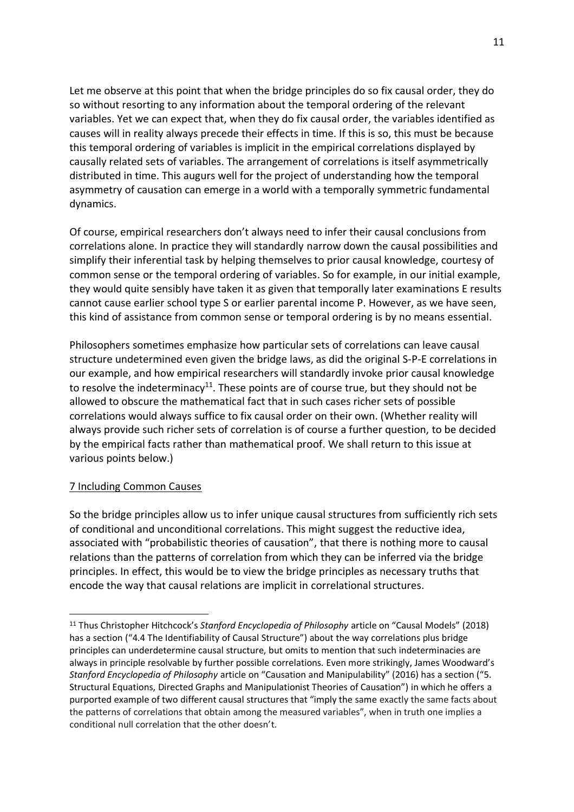Let me observe at this point that when the bridge principles do so fix causal order, they do so without resorting to any information about the temporal ordering of the relevant variables. Yet we can expect that, when they do fix causal order, the variables identified as causes will in reality always precede their effects in time. If this is so, this must be because this temporal ordering of variables is implicit in the empirical correlations displayed by causally related sets of variables. The arrangement of correlations is itself asymmetrically distributed in time. This augurs well for the project of understanding how the temporal asymmetry of causation can emerge in a world with a temporally symmetric fundamental dynamics.

Of course, empirical researchers don't always need to infer their causal conclusions from correlations alone. In practice they will standardly narrow down the causal possibilities and simplify their inferential task by helping themselves to prior causal knowledge, courtesy of common sense or the temporal ordering of variables. So for example, in our initial example, they would quite sensibly have taken it as given that temporally later examinations E results cannot cause earlier school type S or earlier parental income P. However, as we have seen, this kind of assistance from common sense or temporal ordering is by no means essential.

Philosophers sometimes emphasize how particular sets of correlations can leave causal structure undetermined even given the bridge laws, as did the original S-P-E correlations in our example, and how empirical researchers will standardly invoke prior causal knowledge to resolve the indeterminacy<sup>11</sup>. These points are of course true, but they should not be allowed to obscure the mathematical fact that in such cases richer sets of possible correlations would always suffice to fix causal order on their own. (Whether reality will always provide such richer sets of correlation is of course a further question, to be decided by the empirical facts rather than mathematical proof. We shall return to this issue at various points below.)

## 7 Including Common Causes

So the bridge principles allow us to infer unique causal structures from sufficiently rich sets of conditional and unconditional correlations. This might suggest the reductive idea, associated with "probabilistic theories of causation", that there is nothing more to causal relations than the patterns of correlation from which they can be inferred via the bridge principles. In effect, this would be to view the bridge principles as necessary truths that encode the way that causal relations are implicit in correlational structures.

<sup>11</sup> Thus Christopher Hitchcock's *Stanford Encyclopedia of Philosophy* article on "Causal Models" (2018) has a section ("4.4 The Identifiability of Causal Structure") about the way correlations plus bridge principles can underdetermine causal structure, but omits to mention that such indeterminacies are always in principle resolvable by further possible correlations. Even more strikingly, James Woodward's *Stanford Encyclopedia of Philosophy* article on "Causation and Manipulability" (2016) has a section ("5. Structural Equations, Directed Graphs and Manipulationist Theories of Causation") in which he offers a purported example of two different causal structures that "imply the same exactly the same facts about the patterns of correlations that obtain among the measured variables", when in truth one implies a conditional null correlation that the other doesn't.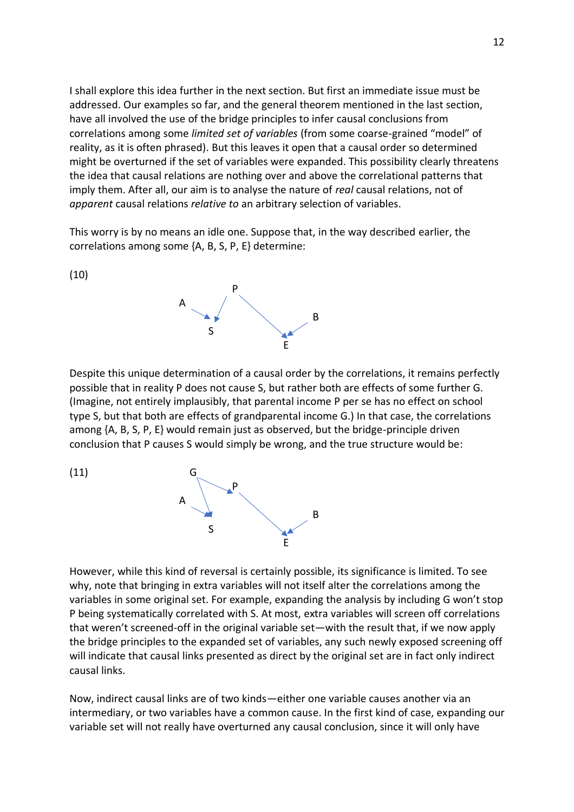I shall explore this idea further in the next section. But first an immediate issue must be addressed. Our examples so far, and the general theorem mentioned in the last section, have all involved the use of the bridge principles to infer causal conclusions from correlations among some *limited set of variables* (from some coarse-grained "model" of reality, as it is often phrased). But this leaves it open that a causal order so determined might be overturned if the set of variables were expanded. This possibility clearly threatens the idea that causal relations are nothing over and above the correlational patterns that imply them. After all, our aim is to analyse the nature of *real* causal relations, not of *apparent* causal relations *relative to* an arbitrary selection of variables.

This worry is by no means an idle one. Suppose that, in the way described earlier, the correlations among some {A, B, S, P, E} determine:

(10)



Despite this unique determination of a causal order by the correlations, it remains perfectly possible that in reality P does not cause S, but rather both are effects of some further G. (Imagine, not entirely implausibly, that parental income P per se has no effect on school type S, but that both are effects of grandparental income G.) In that case, the correlations among {A, B, S, P, E} would remain just as observed, but the bridge-principle driven conclusion that P causes S would simply be wrong, and the true structure would be:

 $(11)$ 



However, while this kind of reversal is certainly possible, its significance is limited. To see why, note that bringing in extra variables will not itself alter the correlations among the variables in some original set. For example, expanding the analysis by including G won't stop P being systematically correlated with S. At most, extra variables will screen off correlations that weren't screened-off in the original variable set—with the result that, if we now apply the bridge principles to the expanded set of variables, any such newly exposed screening off will indicate that causal links presented as direct by the original set are in fact only indirect causal links.

Now, indirect causal links are of two kinds—either one variable causes another via an intermediary, or two variables have a common cause. In the first kind of case, expanding our variable set will not really have overturned any causal conclusion, since it will only have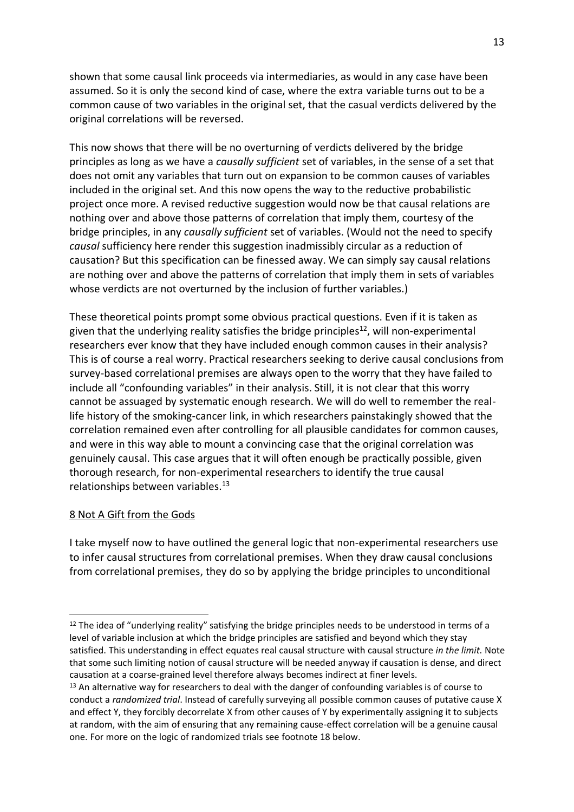shown that some causal link proceeds via intermediaries, as would in any case have been assumed. So it is only the second kind of case, where the extra variable turns out to be a common cause of two variables in the original set, that the casual verdicts delivered by the original correlations will be reversed.

This now shows that there will be no overturning of verdicts delivered by the bridge principles as long as we have a *causally sufficient* set of variables, in the sense of a set that does not omit any variables that turn out on expansion to be common causes of variables included in the original set. And this now opens the way to the reductive probabilistic project once more. A revised reductive suggestion would now be that causal relations are nothing over and above those patterns of correlation that imply them, courtesy of the bridge principles, in any *causally sufficient* set of variables. (Would not the need to specify *causal* sufficiency here render this suggestion inadmissibly circular as a reduction of causation? But this specification can be finessed away. We can simply say causal relations are nothing over and above the patterns of correlation that imply them in sets of variables whose verdicts are not overturned by the inclusion of further variables.)

These theoretical points prompt some obvious practical questions. Even if it is taken as given that the underlying reality satisfies the bridge principles<sup>12</sup>, will non-experimental researchers ever know that they have included enough common causes in their analysis? This is of course a real worry. Practical researchers seeking to derive causal conclusions from survey-based correlational premises are always open to the worry that they have failed to include all "confounding variables" in their analysis. Still, it is not clear that this worry cannot be assuaged by systematic enough research. We will do well to remember the reallife history of the smoking-cancer link, in which researchers painstakingly showed that the correlation remained even after controlling for all plausible candidates for common causes, and were in this way able to mount a convincing case that the original correlation was genuinely causal. This case argues that it will often enough be practically possible, given thorough research, for non-experimental researchers to identify the true causal relationships between variables. $13$ 

## 8 Not A Gift from the Gods

I take myself now to have outlined the general logic that non-experimental researchers use to infer causal structures from correlational premises. When they draw causal conclusions from correlational premises, they do so by applying the bridge principles to unconditional

<sup>&</sup>lt;sup>12</sup> The idea of "underlying reality" satisfying the bridge principles needs to be understood in terms of a level of variable inclusion at which the bridge principles are satisfied and beyond which they stay satisfied. This understanding in effect equates real causal structure with causal structure *in the limit*. Note that some such limiting notion of causal structure will be needed anyway if causation is dense, and direct causation at a coarse-grained level therefore always becomes indirect at finer levels.

<sup>&</sup>lt;sup>13</sup> An alternative way for researchers to deal with the danger of confounding variables is of course to conduct a *randomized trial*. Instead of carefully surveying all possible common causes of putative cause X and effect Y, they forcibly decorrelate X from other causes of Y by experimentally assigning it to subjects at random, with the aim of ensuring that any remaining cause-effect correlation will be a genuine causal one. For more on the logic of randomized trials see footnote 18 below.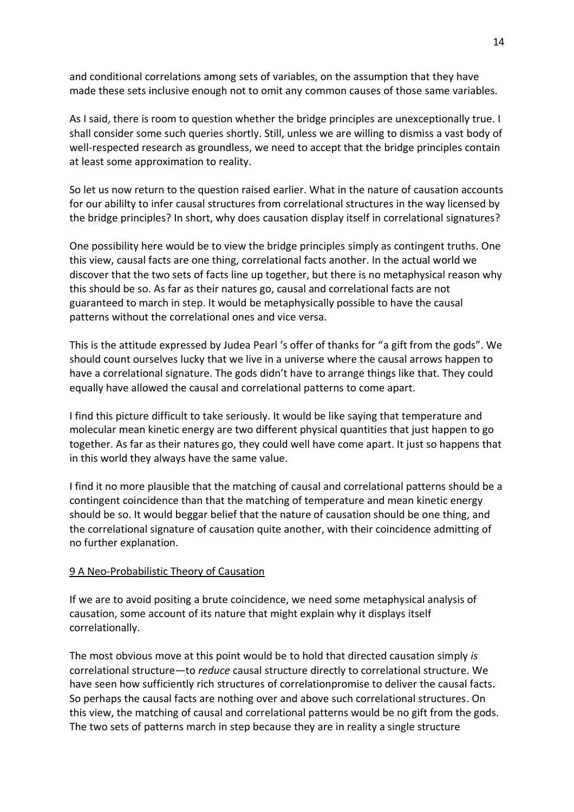and conditional correlations among sets of variables, on the assumption that they have made these sets inclusive enough not to omit any common causes of those same variables.

As I said, there is room to question whether the bridge principles are unexceptionally true. I shall consider some such queries shortly. Still, unless we are willing to dismiss a vast body of well-respected research as groundless, we need to accept that the bridge principles contain at least some approximation to reality.

So let us now return to the question raised earlier. What in the nature of causation accounts for our abililty to infer causal structures from correlational structures in the way licensed by the bridge principles? In short, why does causation display itself in correlational signatures?

One possibility here would be to view the bridge principles simply as contingent truths. One this view, causal facts are one thing, correlational facts another. In the actual world we discover that the two sets of facts line up together, but there is no metaphysical reason why this should be so. As far as their natures go, causal and correlational facts are not guaranteed to march in step. It would be metaphysically possible to have the causal patterns without the correlational ones and vice versa.

This is the attitude expressed by Judea Pearl 's offer of thanks for "a gift from the gods". We should count ourselves lucky that we live in a universe where the causal arrows happen to have a correlational signature. The gods didn't have to arrange things like that. They could equally have allowed the causal and correlational patterns to come apart.

I find this picture difficult to take seriously. It would be like saying that temperature and molecular mean kinetic energy are two different physical quantities that just happen to go together. As far as their natures go, they could well have come apart. It just so happens that in this world they always have the same value.

I find it no more plausible that the matching of causal and correlational patterns should be a contingent coincidence than that the matching of temperature and mean kinetic energy should be so. It would beggar belief that the nature of causation should be one thing, and the correlational signature of causation quite another, with their coincidence admitting of no further explanation.

## 9 A Neo-Probabilistic Theory of Causation

If we are to avoid positing a brute coincidence, we need some metaphysical analysis of causation, some account of its nature that might explain why it displays itself correlationally.

The most obvious move at this point would be to hold that directed causation simply *is* correlational structure—to *reduce* causal structure directly to correlational structure. We have seen how sufficiently rich structures of correlationpromise to deliver the causal facts. So perhaps the causal facts are nothing over and above such correlational structures. On this view, the matching of causal and correlational patterns would be no gift from the gods. The two sets of patterns march in step because they are in reality a single structure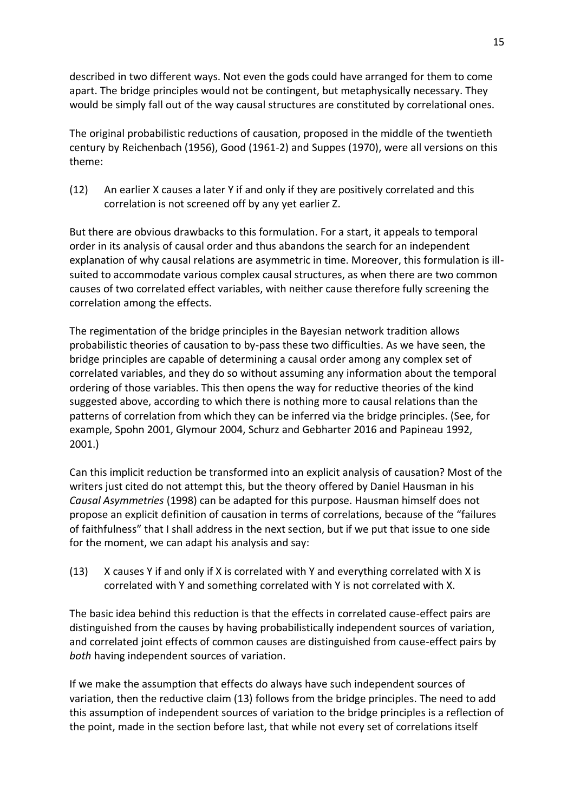described in two different ways. Not even the gods could have arranged for them to come apart. The bridge principles would not be contingent, but metaphysically necessary. They would be simply fall out of the way causal structures are constituted by correlational ones.

The original probabilistic reductions of causation, proposed in the middle of the twentieth century by Reichenbach (1956), Good (1961-2) and Suppes (1970), were all versions on this theme:

(12) An earlier X causes a later Y if and only if they are positively correlated and this correlation is not screened off by any yet earlier Z.

But there are obvious drawbacks to this formulation. For a start, it appeals to temporal order in its analysis of causal order and thus abandons the search for an independent explanation of why causal relations are asymmetric in time. Moreover, this formulation is illsuited to accommodate various complex causal structures, as when there are two common causes of two correlated effect variables, with neither cause therefore fully screening the correlation among the effects.

The regimentation of the bridge principles in the Bayesian network tradition allows probabilistic theories of causation to by-pass these two difficulties. As we have seen, the bridge principles are capable of determining a causal order among any complex set of correlated variables, and they do so without assuming any information about the temporal ordering of those variables. This then opens the way for reductive theories of the kind suggested above, according to which there is nothing more to causal relations than the patterns of correlation from which they can be inferred via the bridge principles. (See, for example, Spohn 2001, Glymour 2004, Schurz and Gebharter 2016 and Papineau 1992, 2001.)

Can this implicit reduction be transformed into an explicit analysis of causation? Most of the writers just cited do not attempt this, but the theory offered by Daniel Hausman in his *Causal Asymmetries* (1998) can be adapted for this purpose. Hausman himself does not propose an explicit definition of causation in terms of correlations, because of the "failures of faithfulness" that I shall address in the next section, but if we put that issue to one side for the moment, we can adapt his analysis and say:

(13) X causes Y if and only if X is correlated with Y and everything correlated with X is correlated with Y and something correlated with Y is not correlated with X.

The basic idea behind this reduction is that the effects in correlated cause-effect pairs are distinguished from the causes by having probabilistically independent sources of variation, and correlated joint effects of common causes are distinguished from cause-effect pairs by *both* having independent sources of variation.

If we make the assumption that effects do always have such independent sources of variation, then the reductive claim (13) follows from the bridge principles. The need to add this assumption of independent sources of variation to the bridge principles is a reflection of the point, made in the section before last, that while not every set of correlations itself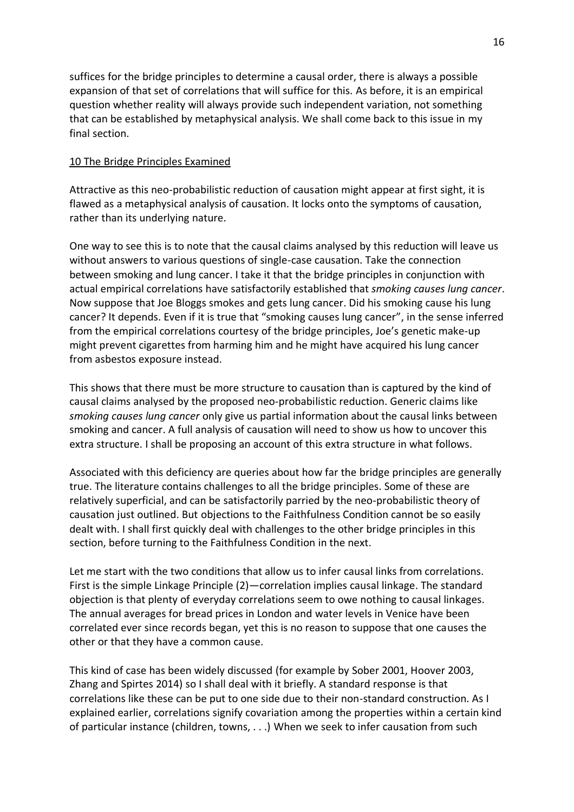suffices for the bridge principles to determine a causal order, there is always a possible expansion of that set of correlations that will suffice for this. As before, it is an empirical question whether reality will always provide such independent variation, not something that can be established by metaphysical analysis. We shall come back to this issue in my final section.

## 10 The Bridge Principles Examined

Attractive as this neo-probabilistic reduction of causation might appear at first sight, it is flawed as a metaphysical analysis of causation. It locks onto the symptoms of causation, rather than its underlying nature.

One way to see this is to note that the causal claims analysed by this reduction will leave us without answers to various questions of single-case causation. Take the connection between smoking and lung cancer. I take it that the bridge principles in conjunction with actual empirical correlations have satisfactorily established that *smoking causes lung cancer*. Now suppose that Joe Bloggs smokes and gets lung cancer. Did his smoking cause his lung cancer? It depends. Even if it is true that "smoking causes lung cancer", in the sense inferred from the empirical correlations courtesy of the bridge principles, Joe's genetic make-up might prevent cigarettes from harming him and he might have acquired his lung cancer from asbestos exposure instead.

This shows that there must be more structure to causation than is captured by the kind of causal claims analysed by the proposed neo-probabilistic reduction. Generic claims like *smoking causes lung cancer* only give us partial information about the causal links between smoking and cancer. A full analysis of causation will need to show us how to uncover this extra structure. I shall be proposing an account of this extra structure in what follows.

Associated with this deficiency are queries about how far the bridge principles are generally true. The literature contains challenges to all the bridge principles. Some of these are relatively superficial, and can be satisfactorily parried by the neo-probabilistic theory of causation just outlined. But objections to the Faithfulness Condition cannot be so easily dealt with. I shall first quickly deal with challenges to the other bridge principles in this section, before turning to the Faithfulness Condition in the next.

Let me start with the two conditions that allow us to infer causal links from correlations. First is the simple Linkage Principle (2)—correlation implies causal linkage. The standard objection is that plenty of everyday correlations seem to owe nothing to causal linkages. The annual averages for bread prices in London and water levels in Venice have been correlated ever since records began, yet this is no reason to suppose that one causes the other or that they have a common cause.

This kind of case has been widely discussed (for example by Sober 2001, Hoover 2003, Zhang and Spirtes 2014) so I shall deal with it briefly. A standard response is that correlations like these can be put to one side due to their non-standard construction. As I explained earlier, correlations signify covariation among the properties within a certain kind of particular instance (children, towns, . . .) When we seek to infer causation from such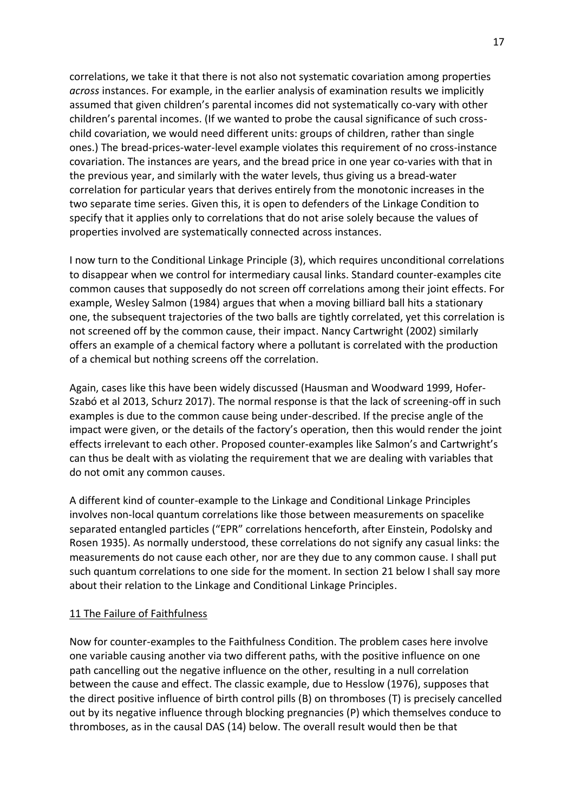correlations, we take it that there is not also not systematic covariation among properties *across* instances. For example, in the earlier analysis of examination results we implicitly assumed that given children's parental incomes did not systematically co-vary with other children's parental incomes. (If we wanted to probe the causal significance of such crosschild covariation, we would need different units: groups of children, rather than single ones.) The bread-prices-water-level example violates this requirement of no cross-instance covariation. The instances are years, and the bread price in one year co-varies with that in the previous year, and similarly with the water levels, thus giving us a bread-water correlation for particular years that derives entirely from the monotonic increases in the two separate time series. Given this, it is open to defenders of the Linkage Condition to specify that it applies only to correlations that do not arise solely because the values of properties involved are systematically connected across instances.

I now turn to the Conditional Linkage Principle (3), which requires unconditional correlations to disappear when we control for intermediary causal links. Standard counter-examples cite common causes that supposedly do not screen off correlations among their joint effects. For example, Wesley Salmon (1984) argues that when a moving billiard ball hits a stationary one, the subsequent trajectories of the two balls are tightly correlated, yet this correlation is not screened off by the common cause, their impact. Nancy Cartwright (2002) similarly offers an example of a chemical factory where a pollutant is correlated with the production of a chemical but nothing screens off the correlation.

Again, cases like this have been widely discussed (Hausman and Woodward 1999, Hofer-Szabó et al 2013, Schurz 2017). The normal response is that the lack of screening-off in such examples is due to the common cause being under-described. If the precise angle of the impact were given, or the details of the factory's operation, then this would render the joint effects irrelevant to each other. Proposed counter-examples like Salmon's and Cartwright's can thus be dealt with as violating the requirement that we are dealing with variables that do not omit any common causes.

A different kind of counter-example to the Linkage and Conditional Linkage Principles involves non-local quantum correlations like those between measurements on spacelike separated entangled particles ("EPR" correlations henceforth, after Einstein, Podolsky and Rosen 1935). As normally understood, these correlations do not signify any casual links: the measurements do not cause each other, nor are they due to any common cause. I shall put such quantum correlations to one side for the moment. In section 21 below I shall say more about their relation to the Linkage and Conditional Linkage Principles.

#### 11 The Failure of Faithfulness

Now for counter-examples to the Faithfulness Condition. The problem cases here involve one variable causing another via two different paths, with the positive influence on one path cancelling out the negative influence on the other, resulting in a null correlation between the cause and effect. The classic example, due to Hesslow (1976), supposes that the direct positive influence of birth control pills (B) on thromboses (T) is precisely cancelled out by its negative influence through blocking pregnancies (P) which themselves conduce to thromboses, as in the causal DAS (14) below. The overall result would then be that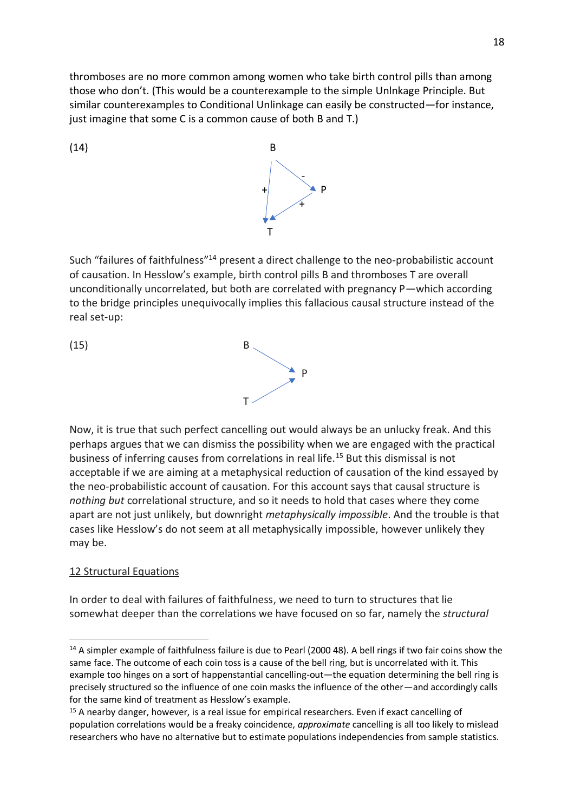thromboses are no more common among women who take birth control pills than among those who don't. (This would be a counterexample to the simple Unlnkage Principle. But similar counterexamples to Conditional Unlinkage can easily be constructed—for instance, just imagine that some C is a common cause of both B and T.)



Such "failures of faithfulness"<sup>14</sup> present a direct challenge to the neo-probabilistic account of causation. In Hesslow's example, birth control pills B and thromboses T are overall unconditionally uncorrelated, but both are correlated with pregnancy P—which according to the bridge principles unequivocally implies this fallacious causal structure instead of the real set-up:

(15) B <sup>1</sup> T

Now, it is true that such perfect cancelling out would always be an unlucky freak. And this perhaps argues that we can dismiss the possibility when we are engaged with the practical business of inferring causes from correlations in real life.<sup>15</sup> But this dismissal is not acceptable if we are aiming at a metaphysical reduction of causation of the kind essayed by the neo-probabilistic account of causation. For this account says that causal structure is *nothing but* correlational structure, and so it needs to hold that cases where they come apart are not just unlikely, but downright *metaphysically impossible*. And the trouble is that cases like Hesslow's do not seem at all metaphysically impossible, however unlikely they may be.

# 12 Structural Equations

In order to deal with failures of faithfulness, we need to turn to structures that lie somewhat deeper than the correlations we have focused on so far, namely the *structural* 

<sup>&</sup>lt;sup>14</sup> A simpler example of faithfulness failure is due to Pearl (2000 48). A bell rings if two fair coins show the same face. The outcome of each coin toss is a cause of the bell ring, but is uncorrelated with it. This example too hinges on a sort of happenstantial cancelling-out—the equation determining the bell ring is precisely structured so the influence of one coin masks the influence of the other—and accordingly calls for the same kind of treatment as Hesslow's example.

<sup>&</sup>lt;sup>15</sup> A nearby danger, however, is a real issue for empirical researchers. Even if exact cancelling of population correlations would be a freaky coincidence, *approximate* cancelling is all too likely to mislead researchers who have no alternative but to estimate populations independencies from sample statistics.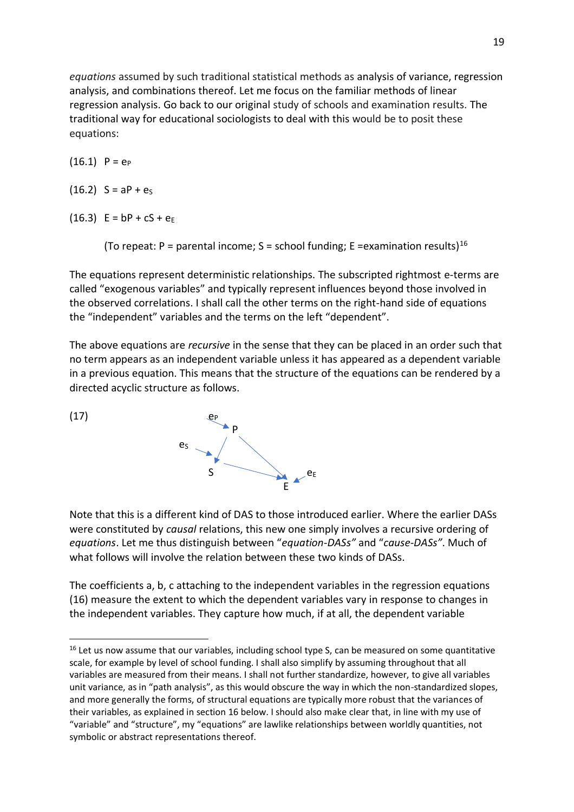*equations* assumed by such traditional statistical methods as analysis of variance, regression analysis, and combinations thereof. Let me focus on the familiar methods of linear regression analysis. Go back to our original study of schools and examination results. The traditional way for educational sociologists to deal with this would be to posit these equations:

 $(16.1)$  P =  $e_P$ 

 $(16.2)$  S = aP +  $e_S$ 

 $(16.3)$  E = bP + cS + e<sub>E</sub>

(To repeat: P = parental income; S = school funding; E = examination results)<sup>16</sup>

The equations represent deterministic relationships. The subscripted rightmost e-terms are called "exogenous variables" and typically represent influences beyond those involved in the observed correlations. I shall call the other terms on the right-hand side of equations the "independent" variables and the terms on the left "dependent".

The above equations are *recursive* in the sense that they can be placed in an order such that no term appears as an independent variable unless it has appeared as a dependent variable in a previous equation. This means that the structure of the equations can be rendered by a directed acyclic structure as follows.



Note that this is a different kind of DAS to those introduced earlier. Where the earlier DASs were constituted by *causal* relations, this new one simply involves a recursive ordering of *equations*. Let me thus distinguish between "*equation-DASs"* and "*cause-DASs"*. Much of what follows will involve the relation between these two kinds of DASs.

The coefficients a, b, c attaching to the independent variables in the regression equations (16) measure the extent to which the dependent variables vary in response to changes in the independent variables. They capture how much, if at all, the dependent variable

<sup>&</sup>lt;sup>16</sup> Let us now assume that our variables, including school type S, can be measured on some quantitative scale, for example by level of school funding. I shall also simplify by assuming throughout that all variables are measured from their means. I shall not further standardize, however, to give all variables unit variance, as in "path analysis", as this would obscure the way in which the non-standardized slopes, and more generally the forms, of structural equations are typically more robust that the variances of their variables, as explained in section 16 below. I should also make clear that, in line with my use of "variable" and "structure", my "equations" are lawlike relationships between worldly quantities, not symbolic or abstract representations thereof.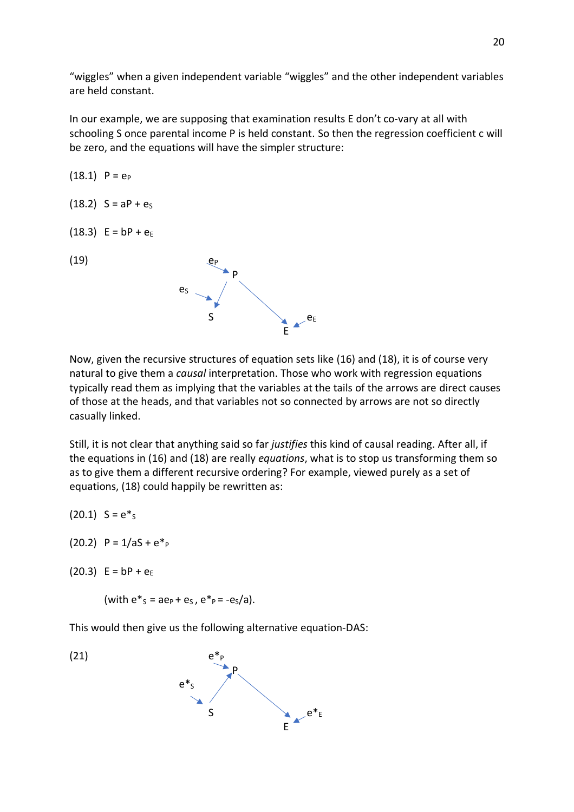"wiggles" when a given independent variable "wiggles" and the other independent variables are held constant.

In our example, we are supposing that examination results E don't co-vary at all with schooling S once parental income P is held constant. So then the regression coefficient c will be zero, and the equations will have the simpler structure:

(18.1) 
$$
P = e_P
$$
  
\n(18.2)  $S = aP + e_S$   
\n(18.3)  $E = bP + e_E$   
\n(19)  $e_S$   $P$ 

Now, given the recursive structures of equation sets like (16) and (18), it is of course very natural to give them a *causal* interpretation. Those who work with regression equations typically read them as implying that the variables at the tails of the arrows are direct causes of those at the heads, and that variables not so connected by arrows are not so directly casually linked.

Still, it is not clear that anything said so far *justifies* this kind of causal reading. After all, if the equations in (16) and (18) are really *equations*, what is to stop us transforming them so as to give them a different recursive ordering? For example, viewed purely as a set of equations, (18) could happily be rewritten as:

 $(20.1)$  S =  $e^*$ <sub>S</sub>

(20.2)  $P = 1/aS + e^*P$ 

(20.3)  $E = bP + e_E$ 

(with  $e^*s = ae_P + e_S$ ,  $e^* = -e_S/a$ ).

This would then give us the following alternative equation-DAS:

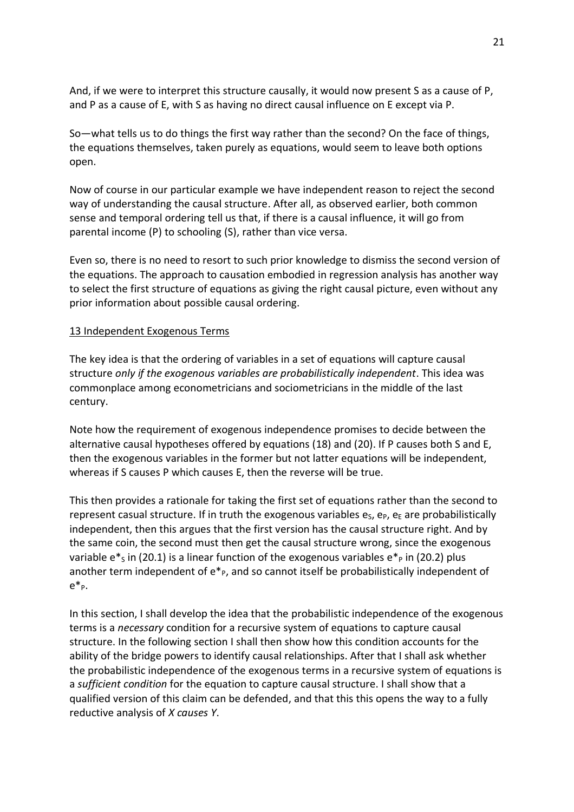And, if we were to interpret this structure causally, it would now present S as a cause of P, and P as a cause of E, with S as having no direct causal influence on E except via P.

So—what tells us to do things the first way rather than the second? On the face of things, the equations themselves, taken purely as equations, would seem to leave both options open.

Now of course in our particular example we have independent reason to reject the second way of understanding the causal structure. After all, as observed earlier, both common sense and temporal ordering tell us that, if there is a causal influence, it will go from parental income (P) to schooling (S), rather than vice versa.

Even so, there is no need to resort to such prior knowledge to dismiss the second version of the equations. The approach to causation embodied in regression analysis has another way to select the first structure of equations as giving the right causal picture, even without any prior information about possible causal ordering.

#### 13 Independent Exogenous Terms

The key idea is that the ordering of variables in a set of equations will capture causal structure *only if the exogenous variables are probabilistically independent*. This idea was commonplace among econometricians and sociometricians in the middle of the last century.

Note how the requirement of exogenous independence promises to decide between the alternative causal hypotheses offered by equations (18) and (20). If P causes both S and E, then the exogenous variables in the former but not latter equations will be independent, whereas if S causes P which causes E, then the reverse will be true.

This then provides a rationale for taking the first set of equations rather than the second to represent casual structure. If in truth the exogenous variables  $e_S$ ,  $e_P$ ,  $e_E$  are probabilistically independent, then this argues that the first version has the causal structure right. And by the same coin, the second must then get the causal structure wrong, since the exogenous variable  $e^*$ s in (20.1) is a linear function of the exogenous variables  $e^*$  in (20.2) plus another term independent of  $e^*_{P}$ , and so cannot itself be probabilistically independent of e\*P.

In this section, I shall develop the idea that the probabilistic independence of the exogenous terms is a *necessary* condition for a recursive system of equations to capture causal structure. In the following section I shall then show how this condition accounts for the ability of the bridge powers to identify causal relationships. After that I shall ask whether the probabilistic independence of the exogenous terms in a recursive system of equations is a *sufficient condition* for the equation to capture causal structure. I shall show that a qualified version of this claim can be defended, and that this this opens the way to a fully reductive analysis of *X causes Y*.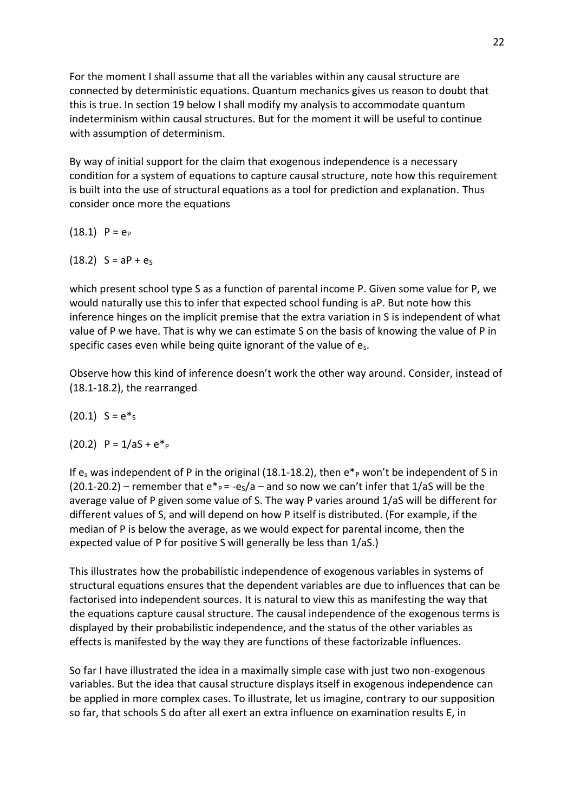For the moment I shall assume that all the variables within any causal structure are connected by deterministic equations. Quantum mechanics gives us reason to doubt that this is true. In section 19 below I shall modify my analysis to accommodate quantum indeterminism within causal structures. But for the moment it will be useful to continue with assumption of determinism.

By way of initial support for the claim that exogenous independence is a necessary condition for a system of equations to capture causal structure, note how this requirement is built into the use of structural equations as a tool for prediction and explanation. Thus consider once more the equations

 $(18.1)$  P =  $e_P$ 

 $(18.2)$  S = aP +  $e_S$ 

which present school type S as a function of parental income P. Given some value for P, we would naturally use this to infer that expected school funding is aP. But note how this inference hinges on the implicit premise that the extra variation in S is independent of what value of P we have. That is why we can estimate S on the basis of knowing the value of P in specific cases even while being quite ignorant of the value of es.

Observe how this kind of inference doesn't work the other way around. Consider, instead of (18.1-18.2), the rearranged

$$
(20.1)
$$
 S =  $e^*s$ 

(20.2)  $P = 1/aS + e^*P$ 

If  $e_s$  was independent of P in the original (18.1-18.2), then  $e^*$  won't be independent of S in  $(20.1-20.2)$  – remember that  $e^* = -e<sub>S</sub>/a$  – and so now we can't infer that 1/aS will be the average value of P given some value of S. The way P varies around 1/aS will be different for different values of S, and will depend on how P itself is distributed. (For example, if the median of P is below the average, as we would expect for parental income, then the expected value of P for positive S will generally be less than 1/aS.)

This illustrates how the probabilistic independence of exogenous variables in systems of structural equations ensures that the dependent variables are due to influences that can be factorised into independent sources. It is natural to view this as manifesting the way that the equations capture causal structure. The causal independence of the exogenous terms is displayed by their probabilistic independence, and the status of the other variables as effects is manifested by the way they are functions of these factorizable influences.

So far I have illustrated the idea in a maximally simple case with just two non-exogenous variables. But the idea that causal structure displays itself in exogenous independence can be applied in more complex cases. To illustrate, let us imagine, contrary to our supposition so far, that schools S do after all exert an extra influence on examination results E, in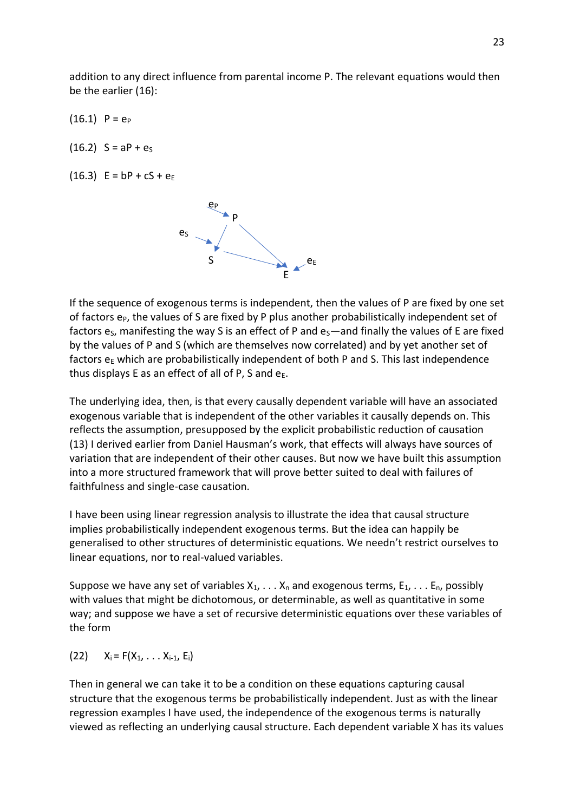addition to any direct influence from parental income P. The relevant equations would then be the earlier (16):

 $(16.1)$  P =  $e_P$ 

 $(16.2)$  S = aP +  $e_S$ 

 $(16.3)$  E = bP + cS + e<sub>F</sub>



If the sequence of exogenous terms is independent, then the values of P are fixed by one set of factors  $e_{P}$ , the values of S are fixed by P plus another probabilistically independent set of factors  $e_s$ , manifesting the way S is an effect of P and  $e_s$ —and finally the values of E are fixed by the values of P and S (which are themselves now correlated) and by yet another set of factors  $e<sub>E</sub>$  which are probabilistically independent of both P and S. This last independence thus displays E as an effect of all of P, S and  $e_{E}$ .

The underlying idea, then, is that every causally dependent variable will have an associated exogenous variable that is independent of the other variables it causally depends on. This reflects the assumption, presupposed by the explicit probabilistic reduction of causation (13) I derived earlier from Daniel Hausman's work, that effects will always have sources of variation that are independent of their other causes. But now we have built this assumption into a more structured framework that will prove better suited to deal with failures of faithfulness and single-case causation.

I have been using linear regression analysis to illustrate the idea that causal structure implies probabilistically independent exogenous terms. But the idea can happily be generalised to other structures of deterministic equations. We needn't restrict ourselves to linear equations, nor to real-valued variables.

Suppose we have any set of variables  $X_1, \ldots, X_n$  and exogenous terms,  $E_1, \ldots, E_n$ , possibly with values that might be dichotomous, or determinable, as well as quantitative in some way; and suppose we have a set of recursive deterministic equations over these variables of the form

(22)  $X_i = F(X_1, \ldots, X_{i-1}, E_i)$ 

Then in general we can take it to be a condition on these equations capturing causal structure that the exogenous terms be probabilistically independent. Just as with the linear regression examples I have used, the independence of the exogenous terms is naturally viewed as reflecting an underlying causal structure. Each dependent variable X has its values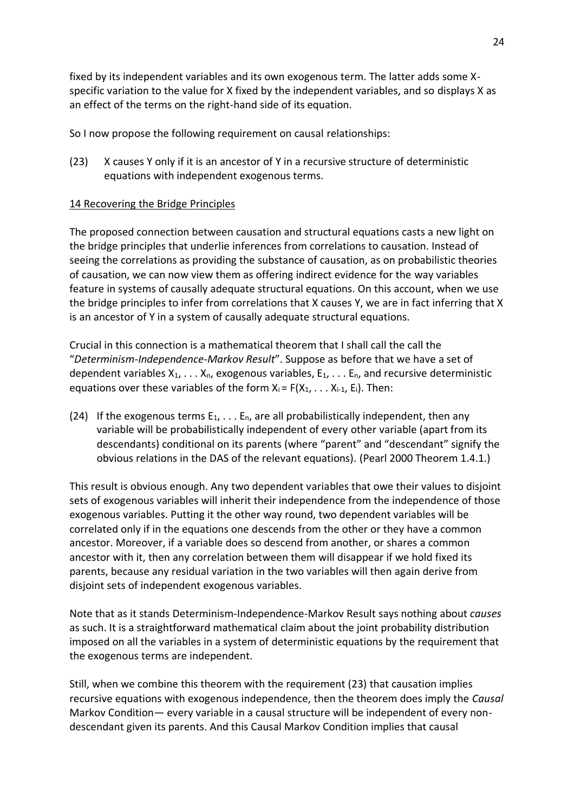fixed by its independent variables and its own exogenous term. The latter adds some Xspecific variation to the value for X fixed by the independent variables, and so displays X as an effect of the terms on the right-hand side of its equation.

So I now propose the following requirement on causal relationships:

(23) X causes Y only if it is an ancestor of Y in a recursive structure of deterministic equations with independent exogenous terms.

## 14 Recovering the Bridge Principles

The proposed connection between causation and structural equations casts a new light on the bridge principles that underlie inferences from correlations to causation. Instead of seeing the correlations as providing the substance of causation, as on probabilistic theories of causation, we can now view them as offering indirect evidence for the way variables feature in systems of causally adequate structural equations. On this account, when we use the bridge principles to infer from correlations that X causes Y, we are in fact inferring that X is an ancestor of Y in a system of causally adequate structural equations.

Crucial in this connection is a mathematical theorem that I shall call the call the "*Determinism-Independence-Markov Result*". Suppose as before that we have a set of dependent variables  $X_1, \ldots X_n$ , exogenous variables,  $E_1, \ldots E_n$ , and recursive deterministic equations over these variables of the form  $X_i = F(X_1, \ldots, X_{i-1}, E_i)$ . Then:

(24) If the exogenous terms  $E_1, \ldots, E_n$ , are all probabilistically independent, then any variable will be probabilistically independent of every other variable (apart from its descendants) conditional on its parents (where "parent" and "descendant" signify the obvious relations in the DAS of the relevant equations). (Pearl 2000 Theorem 1.4.1.)

This result is obvious enough. Any two dependent variables that owe their values to disjoint sets of exogenous variables will inherit their independence from the independence of those exogenous variables. Putting it the other way round, two dependent variables will be correlated only if in the equations one descends from the other or they have a common ancestor. Moreover, if a variable does so descend from another, or shares a common ancestor with it, then any correlation between them will disappear if we hold fixed its parents, because any residual variation in the two variables will then again derive from disjoint sets of independent exogenous variables.

Note that as it stands Determinism-Independence-Markov Result says nothing about *causes* as such. It is a straightforward mathematical claim about the joint probability distribution imposed on all the variables in a system of deterministic equations by the requirement that the exogenous terms are independent.

Still, when we combine this theorem with the requirement (23) that causation implies recursive equations with exogenous independence, then the theorem does imply the *Causal*  Markov Condition— every variable in a causal structure will be independent of every nondescendant given its parents. And this Causal Markov Condition implies that causal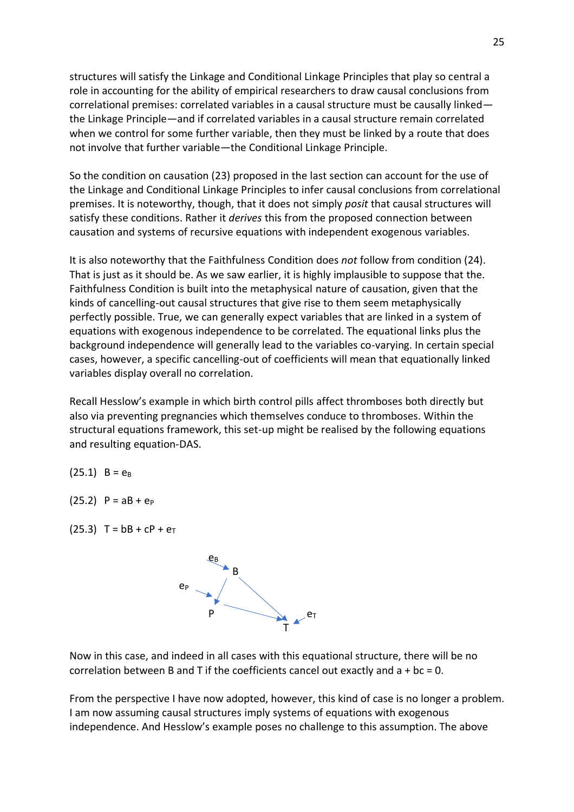structures will satisfy the Linkage and Conditional Linkage Principles that play so central a role in accounting for the ability of empirical researchers to draw causal conclusions from correlational premises: correlated variables in a causal structure must be causally linked the Linkage Principle—and if correlated variables in a causal structure remain correlated when we control for some further variable, then they must be linked by a route that does not involve that further variable—the Conditional Linkage Principle.

So the condition on causation (23) proposed in the last section can account for the use of the Linkage and Conditional Linkage Principles to infer causal conclusions from correlational premises. It is noteworthy, though, that it does not simply *posit* that causal structures will satisfy these conditions. Rather it *derives* this from the proposed connection between causation and systems of recursive equations with independent exogenous variables.

It is also noteworthy that the Faithfulness Condition does *not* follow from condition (24). That is just as it should be. As we saw earlier, it is highly implausible to suppose that the. Faithfulness Condition is built into the metaphysical nature of causation, given that the kinds of cancelling-out causal structures that give rise to them seem metaphysically perfectly possible. True, we can generally expect variables that are linked in a system of equations with exogenous independence to be correlated. The equational links plus the background independence will generally lead to the variables co-varying. In certain special cases, however, a specific cancelling-out of coefficients will mean that equationally linked variables display overall no correlation.

Recall Hesslow's example in which birth control pills affect thromboses both directly but also via preventing pregnancies which themselves conduce to thromboses. Within the structural equations framework, this set-up might be realised by the following equations and resulting equation-DAS.

$$
(25.1) \quad B = e_B
$$

 $(25.2)$  P = aB + e<sub>P</sub>

(25.3)  $T = bB + cP + e_T$ 



Now in this case, and indeed in all cases with this equational structure, there will be no correlation between B and T if the coefficients cancel out exactly and  $a + bc = 0$ .

From the perspective I have now adopted, however, this kind of case is no longer a problem. I am now assuming causal structures imply systems of equations with exogenous independence. And Hesslow's example poses no challenge to this assumption. The above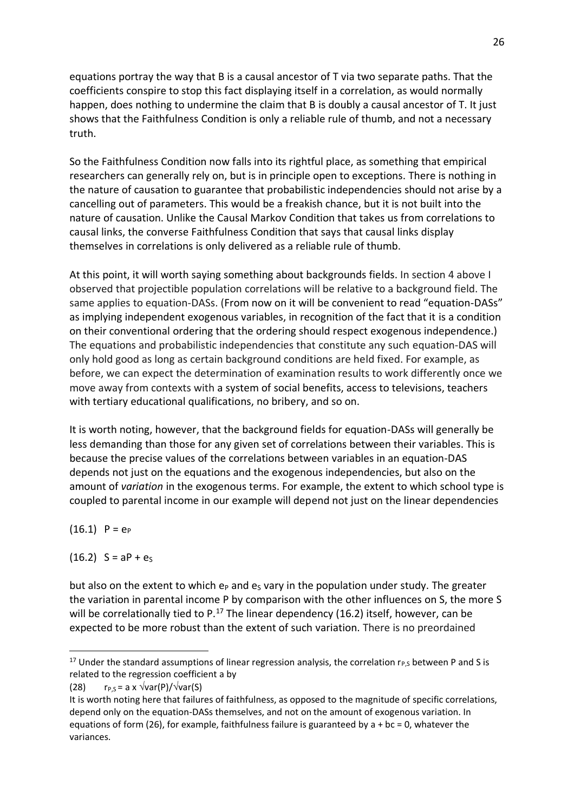equations portray the way that B is a causal ancestor of T via two separate paths. That the coefficients conspire to stop this fact displaying itself in a correlation, as would normally happen, does nothing to undermine the claim that B is doubly a causal ancestor of T. It just shows that the Faithfulness Condition is only a reliable rule of thumb, and not a necessary truth.

So the Faithfulness Condition now falls into its rightful place, as something that empirical researchers can generally rely on, but is in principle open to exceptions. There is nothing in the nature of causation to guarantee that probabilistic independencies should not arise by a cancelling out of parameters. This would be a freakish chance, but it is not built into the nature of causation. Unlike the Causal Markov Condition that takes us from correlations to causal links, the converse Faithfulness Condition that says that causal links display themselves in correlations is only delivered as a reliable rule of thumb.

At this point, it will worth saying something about backgrounds fields. In section 4 above I observed that projectible population correlations will be relative to a background field. The same applies to equation-DASs. (From now on it will be convenient to read "equation-DASs" as implying independent exogenous variables, in recognition of the fact that it is a condition on their conventional ordering that the ordering should respect exogenous independence.) The equations and probabilistic independencies that constitute any such equation-DAS will only hold good as long as certain background conditions are held fixed. For example, as before, we can expect the determination of examination results to work differently once we move away from contexts with a system of social benefits, access to televisions, teachers with tertiary educational qualifications, no bribery, and so on.

It is worth noting, however, that the background fields for equation-DASs will generally be less demanding than those for any given set of correlations between their variables. This is because the precise values of the correlations between variables in an equation-DAS depends not just on the equations and the exogenous independencies, but also on the amount of *variation* in the exogenous terms. For example, the extent to which school type is coupled to parental income in our example will depend not just on the linear dependencies

 $(16.1)$  P =  $e_P$ 

 $(16.2)$  S = aP + es

but also on the extent to which  $e<sub>P</sub>$  and  $e<sub>S</sub>$  vary in the population under study. The greater the variation in parental income P by comparison with the other influences on S, the more S will be correlationally tied to P. $^{17}$  The linear dependency (16.2) itself, however, can be expected to be more robust than the extent of such variation. There is no preordained

<sup>&</sup>lt;sup>17</sup> Under the standard assumptions of linear regression analysis, the correlation  $r_{P,S}$  between P and S is related to the regression coefficient a by

<sup>(28)</sup>  $r_{P,S} = a \times \sqrt{var(P)/\sqrt{var(S)}}$ 

It is worth noting here that failures of faithfulness, as opposed to the magnitude of specific correlations, depend only on the equation-DASs themselves, and not on the amount of exogenous variation. In equations of form (26), for example, faithfulness failure is guaranteed by  $a + bc = 0$ , whatever the variances.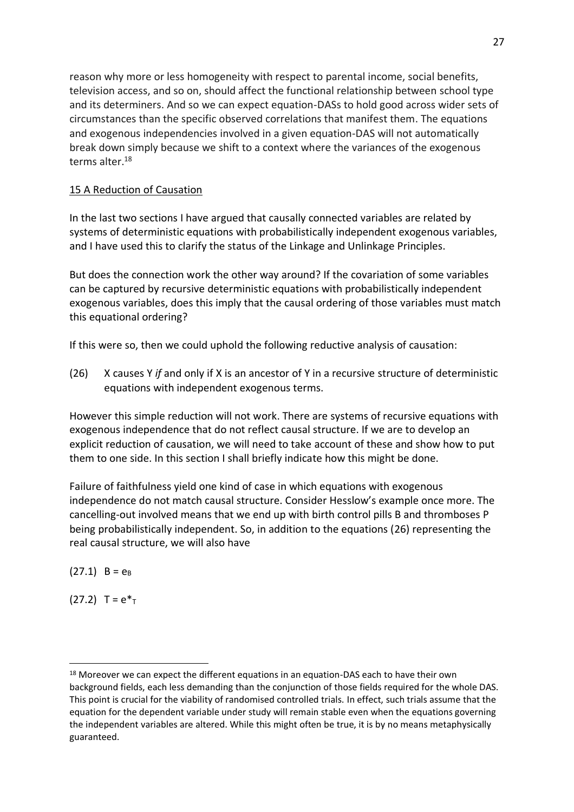reason why more or less homogeneity with respect to parental income, social benefits, television access, and so on, should affect the functional relationship between school type and its determiners. And so we can expect equation-DASs to hold good across wider sets of circumstances than the specific observed correlations that manifest them. The equations and exogenous independencies involved in a given equation-DAS will not automatically break down simply because we shift to a context where the variances of the exogenous terms alter 18

# 15 A Reduction of Causation

In the last two sections I have argued that causally connected variables are related by systems of deterministic equations with probabilistically independent exogenous variables, and I have used this to clarify the status of the Linkage and Unlinkage Principles.

But does the connection work the other way around? If the covariation of some variables can be captured by recursive deterministic equations with probabilistically independent exogenous variables, does this imply that the causal ordering of those variables must match this equational ordering?

If this were so, then we could uphold the following reductive analysis of causation:

(26) X causes Y *if* and only if X is an ancestor of Y in a recursive structure of deterministic equations with independent exogenous terms.

However this simple reduction will not work. There are systems of recursive equations with exogenous independence that do not reflect causal structure. If we are to develop an explicit reduction of causation, we will need to take account of these and show how to put them to one side. In this section I shall briefly indicate how this might be done.

Failure of faithfulness yield one kind of case in which equations with exogenous independence do not match causal structure. Consider Hesslow's example once more. The cancelling-out involved means that we end up with birth control pills B and thromboses P being probabilistically independent. So, in addition to the equations (26) representing the real causal structure, we will also have

 $(27.1)$  B =  $e_B$ 

 $(27.2)$  T =  $e^*$ <sub>T</sub>

<sup>&</sup>lt;sup>18</sup> Moreover we can expect the different equations in an equation-DAS each to have their own background fields, each less demanding than the conjunction of those fields required for the whole DAS. This point is crucial for the viability of randomised controlled trials. In effect, such trials assume that the equation for the dependent variable under study will remain stable even when the equations governing the independent variables are altered. While this might often be true, it is by no means metaphysically guaranteed.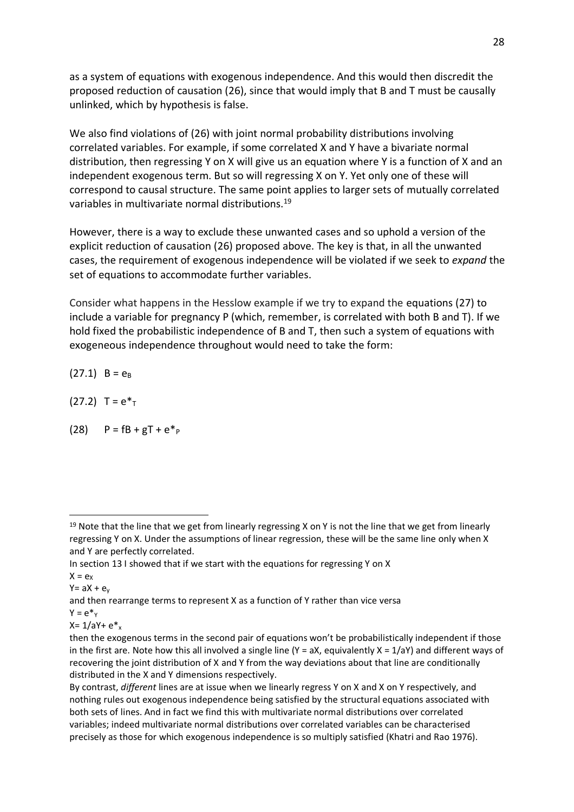as a system of equations with exogenous independence. And this would then discredit the proposed reduction of causation (26), since that would imply that B and T must be causally unlinked, which by hypothesis is false.

We also find violations of (26) with joint normal probability distributions involving correlated variables. For example, if some correlated X and Y have a bivariate normal distribution, then regressing Y on X will give us an equation where Y is a function of X and an independent exogenous term. But so will regressing X on Y. Yet only one of these will correspond to causal structure. The same point applies to larger sets of mutually correlated variables in multivariate normal distributions.<sup>19</sup>

However, there is a way to exclude these unwanted cases and so uphold a version of the explicit reduction of causation (26) proposed above. The key is that, in all the unwanted cases, the requirement of exogenous independence will be violated if we seek to *expand* the set of equations to accommodate further variables.

Consider what happens in the Hesslow example if we try to expand the equations (27) to include a variable for pregnancy P (which, remember, is correlated with both B and T). If we hold fixed the probabilistic independence of B and T, then such a system of equations with exogeneous independence throughout would need to take the form:

 $(27.1)$  B =  $e_B$ 

 $(27.2)$  T =  $e^*$ <sub>T</sub>

(28)  $P = fB + gT + e^*P$ 

 $X = e_X$ 

 $Y= aX + e_y$ 

and then rearrange terms to represent X as a function of Y rather than vice versa

 $Y = e^*y$ 

 $X = 1/aY + e^x$ 

 $19$  Note that the line that we get from linearly regressing X on Y is not the line that we get from linearly regressing Y on X. Under the assumptions of linear regression, these will be the same line only when X and Y are perfectly correlated.

In section 13 I showed that if we start with the equations for regressing Y on X

then the exogenous terms in the second pair of equations won't be probabilistically independent if those in the first are. Note how this all involved a single line  $(Y = ax)$ , equivalently  $X = 1/aY$ ) and different ways of recovering the joint distribution of X and Y from the way deviations about that line are conditionally distributed in the X and Y dimensions respectively.

By contrast, *different* lines are at issue when we linearly regress Y on X and X on Y respectively, and nothing rules out exogenous independence being satisfied by the structural equations associated with both sets of lines. And in fact we find this with multivariate normal distributions over correlated variables; indeed multivariate normal distributions over correlated variables can be characterised precisely as those for which exogenous independence is so multiply satisfied (Khatri and Rao 1976).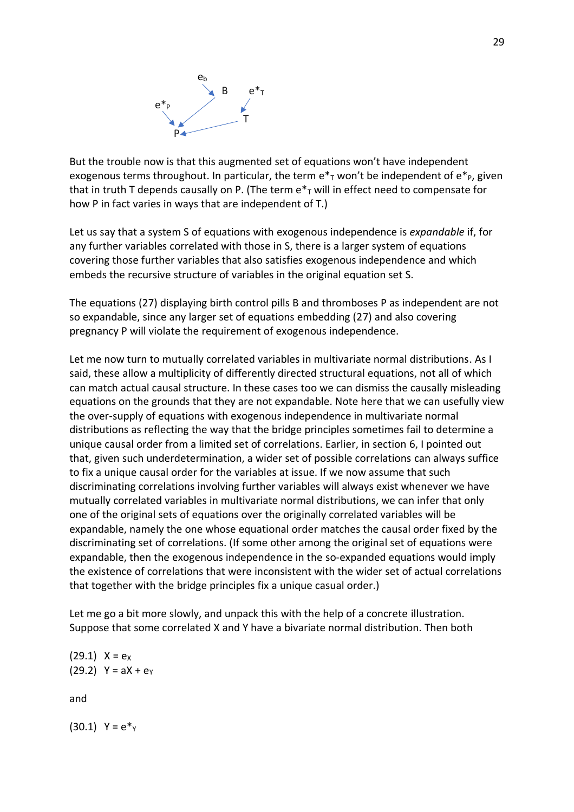

But the trouble now is that this augmented set of equations won't have independent exogenous terms throughout. In particular, the term  $e^*$ <sub>r</sub> won't be independent of  $e^*$ <sub>P</sub>, given that in truth T depends causally on P. (The term  $e^*$  will in effect need to compensate for how P in fact varies in ways that are independent of T.)

Let us say that a system S of equations with exogenous independence is *expandable* if, for any further variables correlated with those in S, there is a larger system of equations covering those further variables that also satisfies exogenous independence and which embeds the recursive structure of variables in the original equation set S.

The equations (27) displaying birth control pills B and thromboses P as independent are not so expandable, since any larger set of equations embedding (27) and also covering pregnancy P will violate the requirement of exogenous independence.

Let me now turn to mutually correlated variables in multivariate normal distributions. As I said, these allow a multiplicity of differently directed structural equations, not all of which can match actual causal structure. In these cases too we can dismiss the causally misleading equations on the grounds that they are not expandable. Note here that we can usefully view the over-supply of equations with exogenous independence in multivariate normal distributions as reflecting the way that the bridge principles sometimes fail to determine a unique causal order from a limited set of correlations. Earlier, in section 6, I pointed out that, given such underdetermination, a wider set of possible correlations can always suffice to fix a unique causal order for the variables at issue. If we now assume that such discriminating correlations involving further variables will always exist whenever we have mutually correlated variables in multivariate normal distributions, we can infer that only one of the original sets of equations over the originally correlated variables will be expandable, namely the one whose equational order matches the causal order fixed by the discriminating set of correlations. (If some other among the original set of equations were expandable, then the exogenous independence in the so-expanded equations would imply the existence of correlations that were inconsistent with the wider set of actual correlations that together with the bridge principles fix a unique casual order.)

Let me go a bit more slowly, and unpack this with the help of a concrete illustration. Suppose that some correlated X and Y have a bivariate normal distribution. Then both

 $(29.1)$  X =  $e_X$  $(29.2)$  Y = aX +  $e_Y$ 

and

 $(30.1)$  Y =  $e^*$ <sub>Y</sub>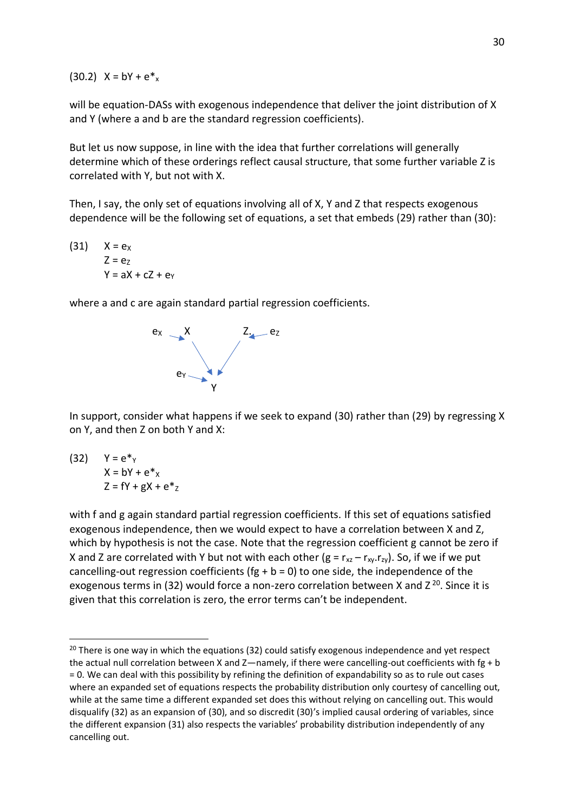(30.2)  $X = bY + e^*$ 

will be equation-DASs with exogenous independence that deliver the joint distribution of X and Y (where a and b are the standard regression coefficients).

But let us now suppose, in line with the idea that further correlations will generally determine which of these orderings reflect causal structure, that some further variable Z is correlated with Y, but not with X.

Then, I say, the only set of equations involving all of X, Y and Z that respects exogenous dependence will be the following set of equations, a set that embeds (29) rather than (30):

 $(31)$   $X = e_X$  $Z = e<sub>z</sub>$  $Y = aX + cZ + ey$ 

where a and c are again standard partial regression coefficients.



In support, consider what happens if we seek to expand (30) rather than (29) by regressing X on Y, and then Z on both Y and X:

$$
\begin{aligned}\n(32) \quad Y &= e^* \gamma \\
X &= bY + e^* \chi \\
Z &= fY + gX + e^* \chi\n\end{aligned}
$$

with f and g again standard partial regression coefficients. If this set of equations satisfied exogenous independence, then we would expect to have a correlation between X and Z, which by hypothesis is not the case. Note that the regression coefficient g cannot be zero if X and Z are correlated with Y but not with each other ( $g = r_{xz} - r_{xy}.r_{zy}$ ). So, if we if we put cancelling-out regression coefficients (fg +  $b = 0$ ) to one side, the independence of the exogenous terms in (32) would force a non-zero correlation between X and  $Z^{20}$ . Since it is given that this correlation is zero, the error terms can't be independent.

 $20$  There is one way in which the equations (32) could satisfy exogenous independence and yet respect the actual null correlation between X and Z—namely, if there were cancelling-out coefficients with fg + b = 0. We can deal with this possibility by refining the definition of expandability so as to rule out cases where an expanded set of equations respects the probability distribution only courtesy of cancelling out, while at the same time a different expanded set does this without relying on cancelling out. This would disqualify (32) as an expansion of (30), and so discredit (30)'s implied causal ordering of variables, since the different expansion (31) also respects the variables' probability distribution independently of any cancelling out.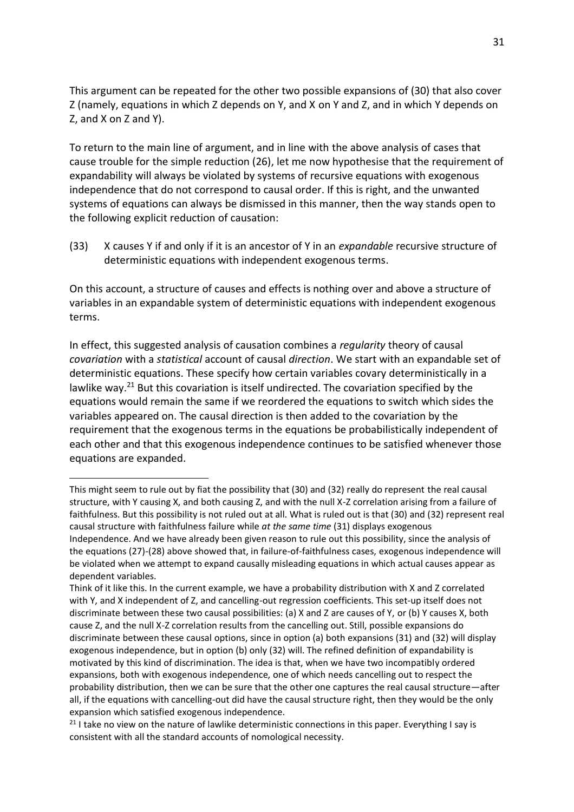This argument can be repeated for the other two possible expansions of (30) that also cover Z (namely, equations in which Z depends on Y, and X on Y and Z, and in which Y depends on Z, and X on Z and Y).

To return to the main line of argument, and in line with the above analysis of cases that cause trouble for the simple reduction (26), let me now hypothesise that the requirement of expandability will always be violated by systems of recursive equations with exogenous independence that do not correspond to causal order. If this is right, and the unwanted systems of equations can always be dismissed in this manner, then the way stands open to the following explicit reduction of causation:

(33) X causes Y if and only if it is an ancestor of Y in an *expandable* recursive structure of deterministic equations with independent exogenous terms.

On this account, a structure of causes and effects is nothing over and above a structure of variables in an expandable system of deterministic equations with independent exogenous terms.

In effect, this suggested analysis of causation combines a *regularity* theory of causal *covariation* with a *statistical* account of causal *direction*. We start with an expandable set of deterministic equations. These specify how certain variables covary deterministically in a lawlike way.<sup>21</sup> But this covariation is itself undirected. The covariation specified by the equations would remain the same if we reordered the equations to switch which sides the variables appeared on. The causal direction is then added to the covariation by the requirement that the exogenous terms in the equations be probabilistically independent of each other and that this exogenous independence continues to be satisfied whenever those equations are expanded.

This might seem to rule out by fiat the possibility that (30) and (32) really do represent the real causal structure, with Y causing X, and both causing Z, and with the null X-Z correlation arising from a failure of faithfulness. But this possibility is not ruled out at all. What is ruled out is that (30) and (32) represent real causal structure with faithfulness failure while *at the same time* (31) displays exogenous Independence. And we have already been given reason to rule out this possibility, since the analysis of the equations (27)-(28) above showed that, in failure-of-faithfulness cases, exogenous independence will be violated when we attempt to expand causally misleading equations in which actual causes appear as dependent variables.

Think of it like this. In the current example, we have a probability distribution with X and Z correlated with Y, and X independent of Z, and cancelling-out regression coefficients. This set-up itself does not discriminate between these two causal possibilities: (a) X and Z are causes of Y, or (b) Y causes X, both cause Z, and the null X-Z correlation results from the cancelling out. Still, possible expansions do discriminate between these causal options, since in option (a) both expansions (31) and (32) will display exogenous independence, but in option (b) only (32) will. The refined definition of expandability is motivated by this kind of discrimination. The idea is that, when we have two incompatibly ordered expansions, both with exogenous independence, one of which needs cancelling out to respect the probability distribution, then we can be sure that the other one captures the real causal structure—after all, if the equations with cancelling-out did have the causal structure right, then they would be the only expansion which satisfied exogenous independence.

<sup>&</sup>lt;sup>21</sup> I take no view on the nature of lawlike deterministic connections in this paper. Everything I say is consistent with all the standard accounts of nomological necessity.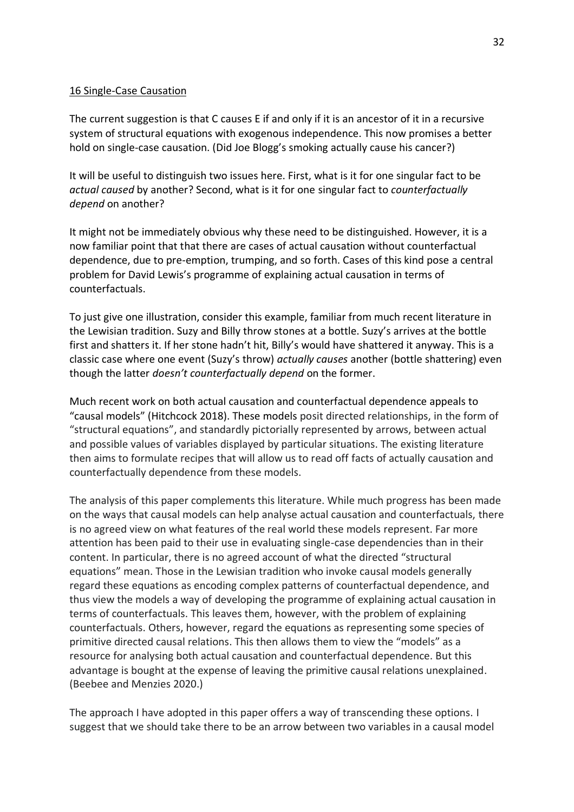### 16 Single-Case Causation

The current suggestion is that C causes E if and only if it is an ancestor of it in a recursive system of structural equations with exogenous independence. This now promises a better hold on single-case causation. (Did Joe Blogg's smoking actually cause his cancer?)

It will be useful to distinguish two issues here. First, what is it for one singular fact to be *actual caused* by another? Second, what is it for one singular fact to *counterfactually depend* on another?

It might not be immediately obvious why these need to be distinguished. However, it is a now familiar point that that there are cases of actual causation without counterfactual dependence, due to pre-emption, trumping, and so forth. Cases of this kind pose a central problem for David Lewis's programme of explaining actual causation in terms of counterfactuals.

To just give one illustration, consider this example, familiar from much recent literature in the Lewisian tradition. Suzy and Billy throw stones at a bottle. Suzy's arrives at the bottle first and shatters it. If her stone hadn't hit, Billy's would have shattered it anyway. This is a classic case where one event (Suzy's throw) *actually causes* another (bottle shattering) even though the latter *doesn't counterfactually depend* on the former.

Much recent work on both actual causation and counterfactual dependence appeals to "causal models" (Hitchcock 2018). These models posit directed relationships, in the form of "structural equations", and standardly pictorially represented by arrows, between actual and possible values of variables displayed by particular situations. The existing literature then aims to formulate recipes that will allow us to read off facts of actually causation and counterfactually dependence from these models.

The analysis of this paper complements this literature. While much progress has been made on the ways that causal models can help analyse actual causation and counterfactuals, there is no agreed view on what features of the real world these models represent. Far more attention has been paid to their use in evaluating single-case dependencies than in their content. In particular, there is no agreed account of what the directed "structural equations" mean. Those in the Lewisian tradition who invoke causal models generally regard these equations as encoding complex patterns of counterfactual dependence, and thus view the models a way of developing the programme of explaining actual causation in terms of counterfactuals. This leaves them, however, with the problem of explaining counterfactuals. Others, however, regard the equations as representing some species of primitive directed causal relations. This then allows them to view the "models" as a resource for analysing both actual causation and counterfactual dependence. But this advantage is bought at the expense of leaving the primitive causal relations unexplained. (Beebee and Menzies 2020.)

The approach I have adopted in this paper offers a way of transcending these options. I suggest that we should take there to be an arrow between two variables in a causal model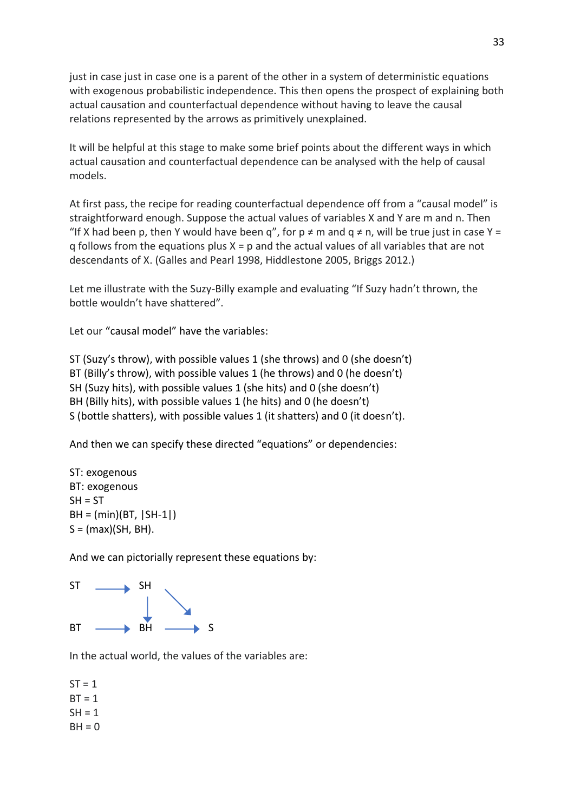just in case just in case one is a parent of the other in a system of deterministic equations with exogenous probabilistic independence. This then opens the prospect of explaining both actual causation and counterfactual dependence without having to leave the causal relations represented by the arrows as primitively unexplained.

It will be helpful at this stage to make some brief points about the different ways in which actual causation and counterfactual dependence can be analysed with the help of causal models.

At first pass, the recipe for reading counterfactual dependence off from a "causal model" is straightforward enough. Suppose the actual values of variables X and Y are m and n. Then "If X had been p, then Y would have been q", for  $p \neq m$  and  $q \neq n$ , will be true just in case Y =  $q$  follows from the equations plus  $X = p$  and the actual values of all variables that are not descendants of X. (Galles and Pearl 1998, Hiddlestone 2005, Briggs 2012.)

Let me illustrate with the Suzy-Billy example and evaluating "If Suzy hadn't thrown, the bottle wouldn't have shattered".

Let our "causal model" have the variables:

ST (Suzy's throw), with possible values 1 (she throws) and 0 (she doesn't) BT (Billy's throw), with possible values 1 (he throws) and 0 (he doesn't) SH (Suzy hits), with possible values 1 (she hits) and 0 (she doesn't) BH (Billy hits), with possible values 1 (he hits) and 0 (he doesn't) S (bottle shatters), with possible values 1 (it shatters) and 0 (it doesn't).

And then we can specify these directed "equations" or dependencies:

ST: exogenous BT: exogenous  $SH = ST$ BH = (min)(BT, |SH-1|)  $S = (max)(SH, BH)$ .

And we can pictorially represent these equations by:



In the actual world, the values of the variables are:

 $ST = 1$  $BT = 1$  $SH = 1$  $BH = 0$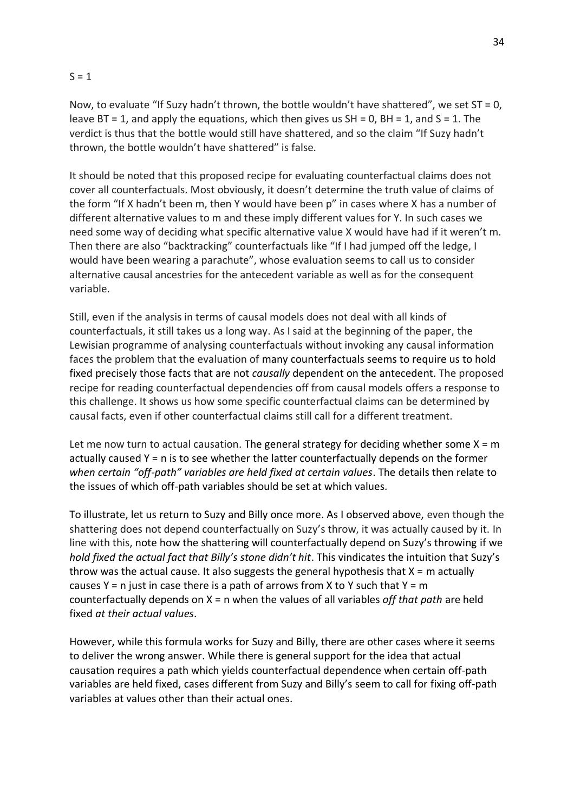### $S = 1$

Now, to evaluate "If Suzy hadn't thrown, the bottle wouldn't have shattered", we set  $ST = 0$ . leave  $BT = 1$ , and apply the equations, which then gives us  $SH = 0$ ,  $BH = 1$ , and  $S = 1$ . The verdict is thus that the bottle would still have shattered, and so the claim "If Suzy hadn't thrown, the bottle wouldn't have shattered" is false.

It should be noted that this proposed recipe for evaluating counterfactual claims does not cover all counterfactuals. Most obviously, it doesn't determine the truth value of claims of the form "If X hadn't been m, then Y would have been p" in cases where X has a number of different alternative values to m and these imply different values for Y. In such cases we need some way of deciding what specific alternative value X would have had if it weren't m. Then there are also "backtracking" counterfactuals like "If I had jumped off the ledge, I would have been wearing a parachute", whose evaluation seems to call us to consider alternative causal ancestries for the antecedent variable as well as for the consequent variable.

Still, even if the analysis in terms of causal models does not deal with all kinds of counterfactuals, it still takes us a long way. As I said at the beginning of the paper, the Lewisian programme of analysing counterfactuals without invoking any causal information faces the problem that the evaluation of many counterfactuals seems to require us to hold fixed precisely those facts that are not *causally* dependent on the antecedent. The proposed recipe for reading counterfactual dependencies off from causal models offers a response to this challenge. It shows us how some specific counterfactual claims can be determined by causal facts, even if other counterfactual claims still call for a different treatment.

Let me now turn to actual causation. The general strategy for deciding whether some  $X = m$ actually caused Y = n is to see whether the latter counterfactually depends on the former *when certain "off-path" variables are held fixed at certain values*. The details then relate to the issues of which off-path variables should be set at which values.

To illustrate, let us return to Suzy and Billy once more. As I observed above, even though the shattering does not depend counterfactually on Suzy's throw, it was actually caused by it. In line with this, note how the shattering will counterfactually depend on Suzy's throwing if we *hold fixed the actual fact that Billy's stone didn't hit*. This vindicates the intuition that Suzy's throw was the actual cause. It also suggests the general hypothesis that  $X = m$  actually causes  $Y = n$  just in case there is a path of arrows from X to Y such that  $Y = m$ counterfactually depends on X = n when the values of all variables *off that path* are held fixed *at their actual values*.

However, while this formula works for Suzy and Billy, there are other cases where it seems to deliver the wrong answer. While there is general support for the idea that actual causation requires a path which yields counterfactual dependence when certain off-path variables are held fixed, cases different from Suzy and Billy's seem to call for fixing off-path variables at values other than their actual ones.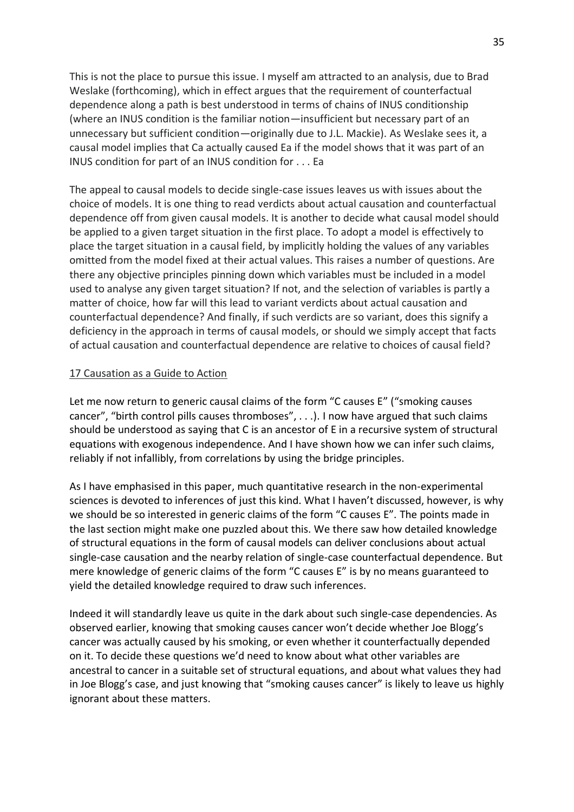This is not the place to pursue this issue. I myself am attracted to an analysis, due to Brad Weslake (forthcoming), which in effect argues that the requirement of counterfactual dependence along a path is best understood in terms of chains of INUS conditionship (where an INUS condition is the familiar notion—insufficient but necessary part of an unnecessary but sufficient condition—originally due to J.L. Mackie). As Weslake sees it, a causal model implies that Ca actually caused Ea if the model shows that it was part of an INUS condition for part of an INUS condition for . . . Ea

The appeal to causal models to decide single-case issues leaves us with issues about the choice of models. It is one thing to read verdicts about actual causation and counterfactual dependence off from given causal models. It is another to decide what causal model should be applied to a given target situation in the first place. To adopt a model is effectively to place the target situation in a causal field, by implicitly holding the values of any variables omitted from the model fixed at their actual values. This raises a number of questions. Are there any objective principles pinning down which variables must be included in a model used to analyse any given target situation? If not, and the selection of variables is partly a matter of choice, how far will this lead to variant verdicts about actual causation and counterfactual dependence? And finally, if such verdicts are so variant, does this signify a deficiency in the approach in terms of causal models, or should we simply accept that facts of actual causation and counterfactual dependence are relative to choices of causal field?

#### 17 Causation as a Guide to Action

Let me now return to generic causal claims of the form "C causes E" ("smoking causes cancer", "birth control pills causes thromboses", . . .). I now have argued that such claims should be understood as saying that C is an ancestor of E in a recursive system of structural equations with exogenous independence. And I have shown how we can infer such claims, reliably if not infallibly, from correlations by using the bridge principles.

As I have emphasised in this paper, much quantitative research in the non-experimental sciences is devoted to inferences of just this kind. What I haven't discussed, however, is why we should be so interested in generic claims of the form "C causes E". The points made in the last section might make one puzzled about this. We there saw how detailed knowledge of structural equations in the form of causal models can deliver conclusions about actual single-case causation and the nearby relation of single-case counterfactual dependence. But mere knowledge of generic claims of the form "C causes E" is by no means guaranteed to yield the detailed knowledge required to draw such inferences.

Indeed it will standardly leave us quite in the dark about such single-case dependencies. As observed earlier, knowing that smoking causes cancer won't decide whether Joe Blogg's cancer was actually caused by his smoking, or even whether it counterfactually depended on it. To decide these questions we'd need to know about what other variables are ancestral to cancer in a suitable set of structural equations, and about what values they had in Joe Blogg's case, and just knowing that "smoking causes cancer" is likely to leave us highly ignorant about these matters.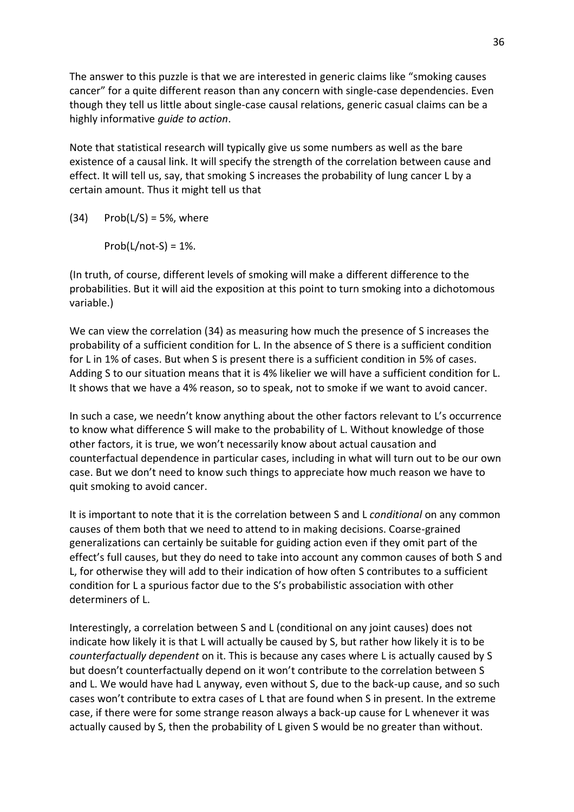The answer to this puzzle is that we are interested in generic claims like "smoking causes cancer" for a quite different reason than any concern with single-case dependencies. Even though they tell us little about single-case causal relations, generic casual claims can be a highly informative *guide to action*.

Note that statistical research will typically give us some numbers as well as the bare existence of a causal link. It will specify the strength of the correlation between cause and effect. It will tell us, say, that smoking S increases the probability of lung cancer L by a certain amount. Thus it might tell us that

 $(34)$  Prob(L/S) = 5%, where

 $Prob(L/not-S) = 1\%$ .

(In truth, of course, different levels of smoking will make a different difference to the probabilities. But it will aid the exposition at this point to turn smoking into a dichotomous variable.)

We can view the correlation (34) as measuring how much the presence of S increases the probability of a sufficient condition for L. In the absence of S there is a sufficient condition for L in 1% of cases. But when S is present there is a sufficient condition in 5% of cases. Adding S to our situation means that it is 4% likelier we will have a sufficient condition for L. It shows that we have a 4% reason, so to speak, not to smoke if we want to avoid cancer.

In such a case, we needn't know anything about the other factors relevant to L's occurrence to know what difference S will make to the probability of L. Without knowledge of those other factors, it is true, we won't necessarily know about actual causation and counterfactual dependence in particular cases, including in what will turn out to be our own case. But we don't need to know such things to appreciate how much reason we have to quit smoking to avoid cancer.

It is important to note that it is the correlation between S and L *conditional* on any common causes of them both that we need to attend to in making decisions. Coarse-grained generalizations can certainly be suitable for guiding action even if they omit part of the effect's full causes, but they do need to take into account any common causes of both S and L, for otherwise they will add to their indication of how often S contributes to a sufficient condition for L a spurious factor due to the S's probabilistic association with other determiners of L.

Interestingly, a correlation between S and L (conditional on any joint causes) does not indicate how likely it is that L will actually be caused by S, but rather how likely it is to be *counterfactually dependent* on it. This is because any cases where L is actually caused by S but doesn't counterfactually depend on it won't contribute to the correlation between S and L. We would have had L anyway, even without S, due to the back-up cause, and so such cases won't contribute to extra cases of L that are found when S in present. In the extreme case, if there were for some strange reason always a back-up cause for L whenever it was actually caused by S, then the probability of L given S would be no greater than without.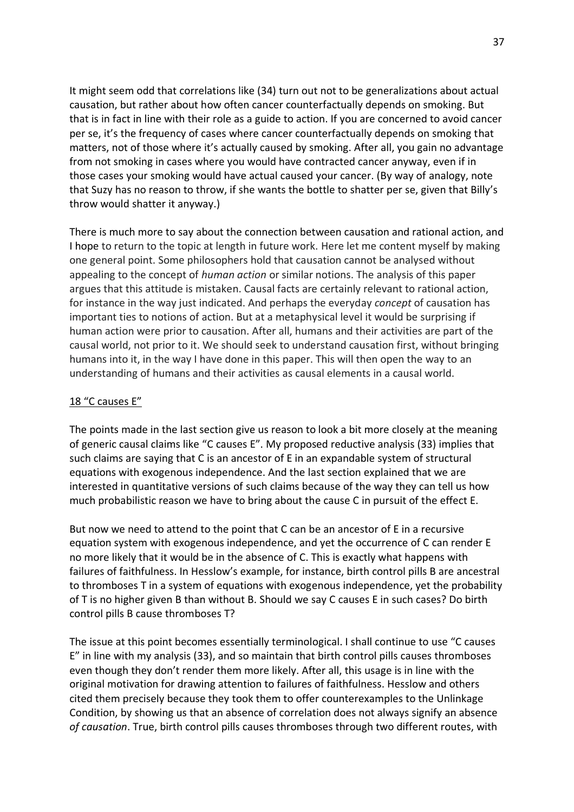It might seem odd that correlations like (34) turn out not to be generalizations about actual causation, but rather about how often cancer counterfactually depends on smoking. But that is in fact in line with their role as a guide to action. If you are concerned to avoid cancer per se, it's the frequency of cases where cancer counterfactually depends on smoking that matters, not of those where it's actually caused by smoking. After all, you gain no advantage from not smoking in cases where you would have contracted cancer anyway, even if in those cases your smoking would have actual caused your cancer. (By way of analogy, note that Suzy has no reason to throw, if she wants the bottle to shatter per se, given that Billy's throw would shatter it anyway.)

There is much more to say about the connection between causation and rational action, and I hope to return to the topic at length in future work. Here let me content myself by making one general point. Some philosophers hold that causation cannot be analysed without appealing to the concept of *human action* or similar notions. The analysis of this paper argues that this attitude is mistaken. Causal facts are certainly relevant to rational action, for instance in the way just indicated. And perhaps the everyday *concept* of causation has important ties to notions of action. But at a metaphysical level it would be surprising if human action were prior to causation. After all, humans and their activities are part of the causal world, not prior to it. We should seek to understand causation first, without bringing humans into it, in the way I have done in this paper. This will then open the way to an understanding of humans and their activities as causal elements in a causal world.

#### 18 "C causes E"

The points made in the last section give us reason to look a bit more closely at the meaning of generic causal claims like "C causes E". My proposed reductive analysis (33) implies that such claims are saying that C is an ancestor of E in an expandable system of structural equations with exogenous independence. And the last section explained that we are interested in quantitative versions of such claims because of the way they can tell us how much probabilistic reason we have to bring about the cause C in pursuit of the effect E.

But now we need to attend to the point that C can be an ancestor of E in a recursive equation system with exogenous independence, and yet the occurrence of C can render E no more likely that it would be in the absence of C. This is exactly what happens with failures of faithfulness. In Hesslow's example, for instance, birth control pills B are ancestral to thromboses T in a system of equations with exogenous independence, yet the probability of T is no higher given B than without B. Should we say C causes E in such cases? Do birth control pills B cause thromboses T?

The issue at this point becomes essentially terminological. I shall continue to use "C causes E" in line with my analysis (33), and so maintain that birth control pills causes thromboses even though they don't render them more likely. After all, this usage is in line with the original motivation for drawing attention to failures of faithfulness. Hesslow and others cited them precisely because they took them to offer counterexamples to the Unlinkage Condition, by showing us that an absence of correlation does not always signify an absence *of causation*. True, birth control pills causes thromboses through two different routes, with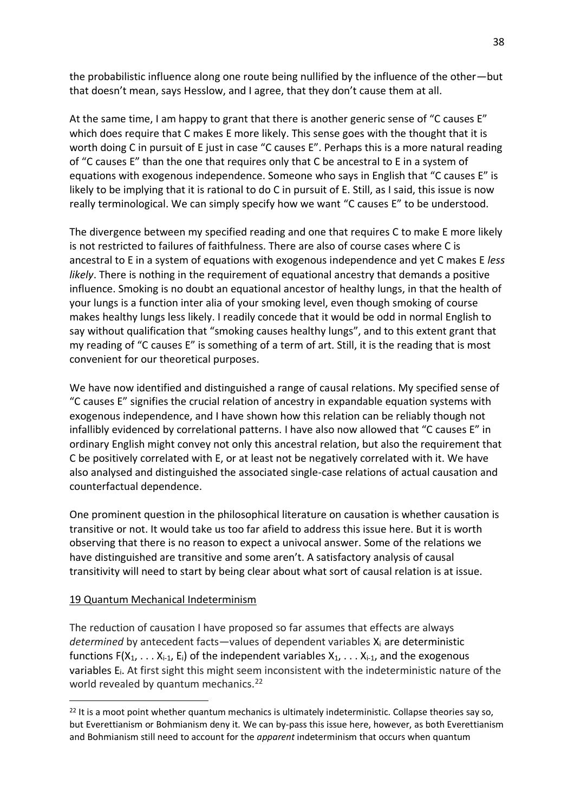the probabilistic influence along one route being nullified by the influence of the other—but that doesn't mean, says Hesslow, and I agree, that they don't cause them at all.

At the same time, I am happy to grant that there is another generic sense of "C causes E" which does require that C makes E more likely. This sense goes with the thought that it is worth doing C in pursuit of E just in case "C causes E". Perhaps this is a more natural reading of "C causes E" than the one that requires only that C be ancestral to E in a system of equations with exogenous independence. Someone who says in English that "C causes E" is likely to be implying that it is rational to do C in pursuit of E. Still, as I said, this issue is now really terminological. We can simply specify how we want "C causes E" to be understood.

The divergence between my specified reading and one that requires C to make E more likely is not restricted to failures of faithfulness. There are also of course cases where C is ancestral to E in a system of equations with exogenous independence and yet C makes E *less likely*. There is nothing in the requirement of equational ancestry that demands a positive influence. Smoking is no doubt an equational ancestor of healthy lungs, in that the health of your lungs is a function inter alia of your smoking level, even though smoking of course makes healthy lungs less likely. I readily concede that it would be odd in normal English to say without qualification that "smoking causes healthy lungs", and to this extent grant that my reading of "C causes E" is something of a term of art. Still, it is the reading that is most convenient for our theoretical purposes.

We have now identified and distinguished a range of causal relations. My specified sense of "C causes E" signifies the crucial relation of ancestry in expandable equation systems with exogenous independence, and I have shown how this relation can be reliably though not infallibly evidenced by correlational patterns. I have also now allowed that "C causes E" in ordinary English might convey not only this ancestral relation, but also the requirement that C be positively correlated with E, or at least not be negatively correlated with it. We have also analysed and distinguished the associated single-case relations of actual causation and counterfactual dependence.

One prominent question in the philosophical literature on causation is whether causation is transitive or not. It would take us too far afield to address this issue here. But it is worth observing that there is no reason to expect a univocal answer. Some of the relations we have distinguished are transitive and some aren't. A satisfactory analysis of causal transitivity will need to start by being clear about what sort of causal relation is at issue.

## 19 Quantum Mechanical Indeterminism

The reduction of causation I have proposed so far assumes that effects are always *determined* by antecedent facts—values of dependent variables Xi are deterministic functions  $F(X_1, \ldots, X_{i-1}, E_i)$  of the independent variables  $X_1, \ldots, X_{i-1}$ , and the exogenous variables Ei. At first sight this might seem inconsistent with the indeterministic nature of the world revealed by quantum mechanics.<sup>22</sup>

 $22$  It is a moot point whether quantum mechanics is ultimately indeterministic. Collapse theories say so, but Everettianism or Bohmianism deny it. We can by-pass this issue here, however, as both Everettianism and Bohmianism still need to account for the *apparent* indeterminism that occurs when quantum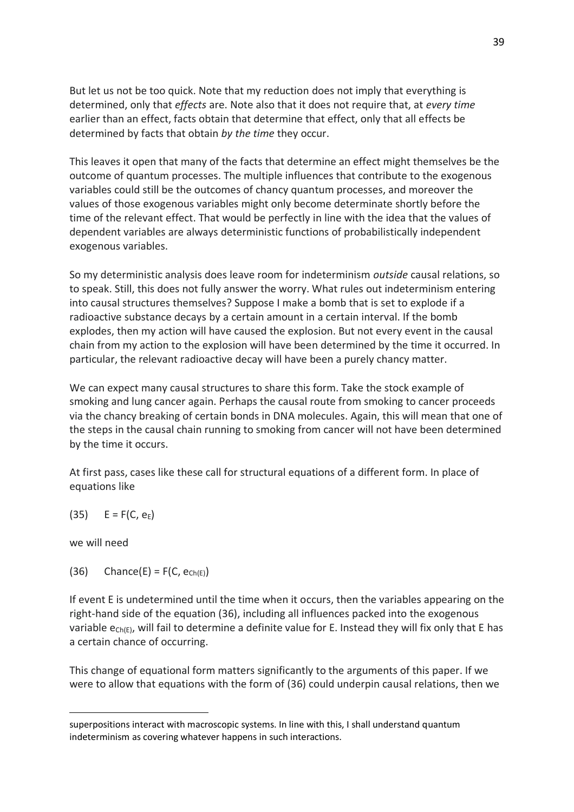But let us not be too quick. Note that my reduction does not imply that everything is determined, only that *effects* are. Note also that it does not require that, at *every time* earlier than an effect, facts obtain that determine that effect, only that all effects be determined by facts that obtain *by the time* they occur.

This leaves it open that many of the facts that determine an effect might themselves be the outcome of quantum processes. The multiple influences that contribute to the exogenous variables could still be the outcomes of chancy quantum processes, and moreover the values of those exogenous variables might only become determinate shortly before the time of the relevant effect. That would be perfectly in line with the idea that the values of dependent variables are always deterministic functions of probabilistically independent exogenous variables.

So my deterministic analysis does leave room for indeterminism *outside* causal relations, so to speak. Still, this does not fully answer the worry. What rules out indeterminism entering into causal structures themselves? Suppose I make a bomb that is set to explode if a radioactive substance decays by a certain amount in a certain interval. If the bomb explodes, then my action will have caused the explosion. But not every event in the causal chain from my action to the explosion will have been determined by the time it occurred. In particular, the relevant radioactive decay will have been a purely chancy matter.

We can expect many causal structures to share this form. Take the stock example of smoking and lung cancer again. Perhaps the causal route from smoking to cancer proceeds via the chancy breaking of certain bonds in DNA molecules. Again, this will mean that one of the steps in the causal chain running to smoking from cancer will not have been determined by the time it occurs.

At first pass, cases like these call for structural equations of a different form. In place of equations like

# (35)  $E = F(C, e_E)$

we will need

(36) Chance(E) =  $F(C, e_{Ch(E)})$ 

If event E is undetermined until the time when it occurs, then the variables appearing on the right-hand side of the equation (36), including all influences packed into the exogenous variable  $e_{Ch(E)}$ , will fail to determine a definite value for E. Instead they will fix only that E has a certain chance of occurring.

This change of equational form matters significantly to the arguments of this paper. If we were to allow that equations with the form of (36) could underpin causal relations, then we

superpositions interact with macroscopic systems. In line with this, I shall understand quantum indeterminism as covering whatever happens in such interactions.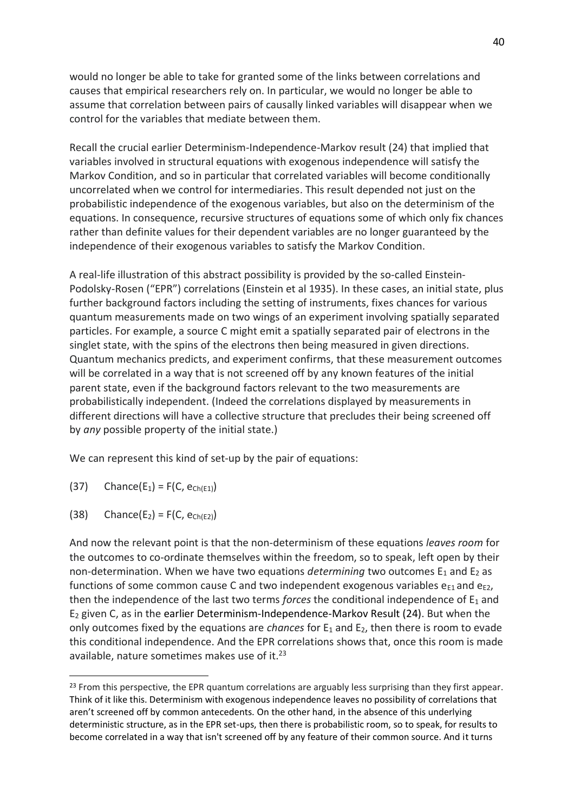would no longer be able to take for granted some of the links between correlations and causes that empirical researchers rely on. In particular, we would no longer be able to assume that correlation between pairs of causally linked variables will disappear when we control for the variables that mediate between them.

Recall the crucial earlier Determinism-Independence-Markov result (24) that implied that variables involved in structural equations with exogenous independence will satisfy the Markov Condition, and so in particular that correlated variables will become conditionally uncorrelated when we control for intermediaries. This result depended not just on the probabilistic independence of the exogenous variables, but also on the determinism of the equations. In consequence, recursive structures of equations some of which only fix chances rather than definite values for their dependent variables are no longer guaranteed by the independence of their exogenous variables to satisfy the Markov Condition.

A real-life illustration of this abstract possibility is provided by the so-called Einstein-Podolsky-Rosen ("EPR") correlations (Einstein et al 1935). In these cases, an initial state, plus further background factors including the setting of instruments, fixes chances for various quantum measurements made on two wings of an experiment involving spatially separated particles. For example, a source C might emit a spatially separated pair of electrons in the singlet state, with the spins of the electrons then being measured in given directions. Quantum mechanics predicts, and experiment confirms, that these measurement outcomes will be correlated in a way that is not screened off by any known features of the initial parent state, even if the background factors relevant to the two measurements are probabilistically independent. (Indeed the correlations displayed by measurements in different directions will have a collective structure that precludes their being screened off by *any* possible property of the initial state.)

We can represent this kind of set-up by the pair of equations:

- (37) Chance(E<sub>1</sub>) = F(C, e<sub>Ch(E1)</sub>)
- (38) Chance(E<sub>2</sub>) = F(C, e<sub>Ch(E2)</sub>)

And now the relevant point is that the non-determinism of these equations *leaves room* for the outcomes to co-ordinate themselves within the freedom, so to speak, left open by their non-determination. When we have two equations *determining* two outcomes E<sub>1</sub> and E<sub>2</sub> as functions of some common cause C and two independent exogenous variables  $e_{E1}$  and  $e_{E2}$ , then the independence of the last two terms *forces* the conditional independence of  $E_1$  and  $E_2$  given C, as in the earlier Determinism-Independence-Markov Result (24). But when the only outcomes fixed by the equations are *chances* for  $E_1$  and  $E_2$ , then there is room to evade this conditional independence. And the EPR correlations shows that, once this room is made available, nature sometimes makes use of it.<sup>23</sup>

<sup>&</sup>lt;sup>23</sup> From this perspective, the EPR quantum correlations are arguably less surprising than they first appear. Think of it like this. Determinism with exogenous independence leaves no possibility of correlations that aren't screened off by common antecedents. On the other hand, in the absence of this underlying deterministic structure, as in the EPR set-ups, then there is probabilistic room, so to speak, for results to become correlated in a way that isn't screened off by any feature of their common source. And it turns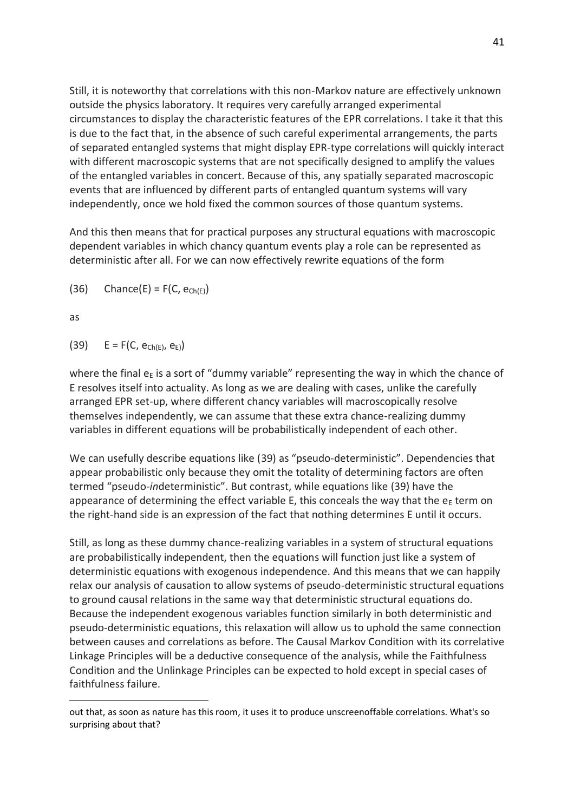Still, it is noteworthy that correlations with this non-Markov nature are effectively unknown outside the physics laboratory. It requires very carefully arranged experimental circumstances to display the characteristic features of the EPR correlations. I take it that this is due to the fact that, in the absence of such careful experimental arrangements, the parts of separated entangled systems that might display EPR-type correlations will quickly interact with different macroscopic systems that are not specifically designed to amplify the values of the entangled variables in concert. Because of this, any spatially separated macroscopic events that are influenced by different parts of entangled quantum systems will vary independently, once we hold fixed the common sources of those quantum systems.

And this then means that for practical purposes any structural equations with macroscopic dependent variables in which chancy quantum events play a role can be represented as deterministic after all. For we can now effectively rewrite equations of the form

(36) Chance(E) =  $F(C, e_{Ch(E)})$ 

as

(39)  $E = F(C, e_{Ch(E)}, e_E)$ 

where the final  $e_E$  is a sort of "dummy variable" representing the way in which the chance of E resolves itself into actuality. As long as we are dealing with cases, unlike the carefully arranged EPR set-up, where different chancy variables will macroscopically resolve themselves independently, we can assume that these extra chance-realizing dummy variables in different equations will be probabilistically independent of each other.

We can usefully describe equations like (39) as "pseudo-deterministic". Dependencies that appear probabilistic only because they omit the totality of determining factors are often termed "pseudo-*in*deterministic". But contrast, while equations like (39) have the appearance of determining the effect variable E, this conceals the way that the  $e<sub>E</sub>$  term on the right-hand side is an expression of the fact that nothing determines E until it occurs.

Still, as long as these dummy chance-realizing variables in a system of structural equations are probabilistically independent, then the equations will function just like a system of deterministic equations with exogenous independence. And this means that we can happily relax our analysis of causation to allow systems of pseudo-deterministic structural equations to ground causal relations in the same way that deterministic structural equations do. Because the independent exogenous variables function similarly in both deterministic and pseudo-deterministic equations, this relaxation will allow us to uphold the same connection between causes and correlations as before. The Causal Markov Condition with its correlative Linkage Principles will be a deductive consequence of the analysis, while the Faithfulness Condition and the Unlinkage Principles can be expected to hold except in special cases of faithfulness failure.

out that, as soon as nature has this room, it uses it to produce unscreenoffable correlations. What's so surprising about that?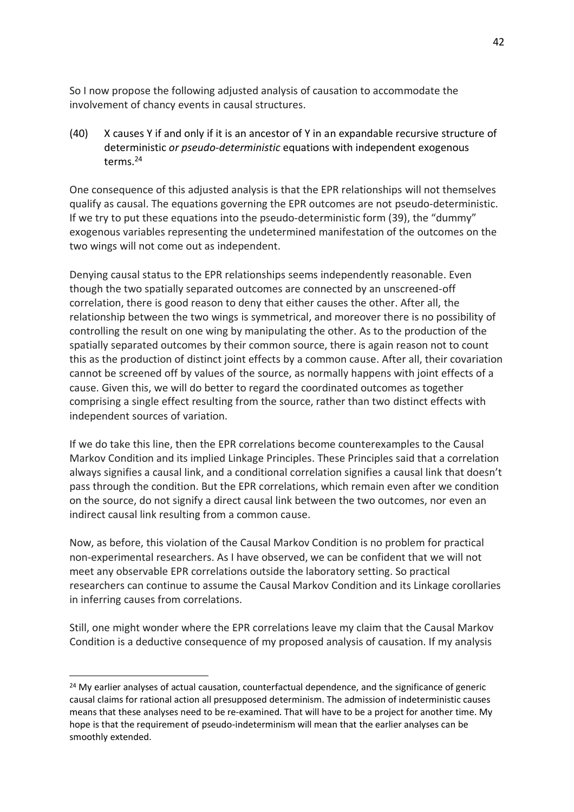So I now propose the following adjusted analysis of causation to accommodate the involvement of chancy events in causal structures.

(40) X causes Y if and only if it is an ancestor of Y in an expandable recursive structure of deterministic *or pseudo-deterministic* equations with independent exogenous terms<sup>24</sup>

One consequence of this adjusted analysis is that the EPR relationships will not themselves qualify as causal. The equations governing the EPR outcomes are not pseudo-deterministic. If we try to put these equations into the pseudo-deterministic form (39), the "dummy" exogenous variables representing the undetermined manifestation of the outcomes on the two wings will not come out as independent.

Denying causal status to the EPR relationships seems independently reasonable. Even though the two spatially separated outcomes are connected by an unscreened-off correlation, there is good reason to deny that either causes the other. After all, the relationship between the two wings is symmetrical, and moreover there is no possibility of controlling the result on one wing by manipulating the other. As to the production of the spatially separated outcomes by their common source, there is again reason not to count this as the production of distinct joint effects by a common cause. After all, their covariation cannot be screened off by values of the source, as normally happens with joint effects of a cause. Given this, we will do better to regard the coordinated outcomes as together comprising a single effect resulting from the source, rather than two distinct effects with independent sources of variation.

If we do take this line, then the EPR correlations become counterexamples to the Causal Markov Condition and its implied Linkage Principles. These Principles said that a correlation always signifies a causal link, and a conditional correlation signifies a causal link that doesn't pass through the condition. But the EPR correlations, which remain even after we condition on the source, do not signify a direct causal link between the two outcomes, nor even an indirect causal link resulting from a common cause.

Now, as before, this violation of the Causal Markov Condition is no problem for practical non-experimental researchers. As I have observed, we can be confident that we will not meet any observable EPR correlations outside the laboratory setting. So practical researchers can continue to assume the Causal Markov Condition and its Linkage corollaries in inferring causes from correlations.

Still, one might wonder where the EPR correlations leave my claim that the Causal Markov Condition is a deductive consequence of my proposed analysis of causation. If my analysis

<sup>&</sup>lt;sup>24</sup> My earlier analyses of actual causation, counterfactual dependence, and the significance of generic causal claims for rational action all presupposed determinism. The admission of indeterministic causes means that these analyses need to be re-examined. That will have to be a project for another time. My hope is that the requirement of pseudo-indeterminism will mean that the earlier analyses can be smoothly extended.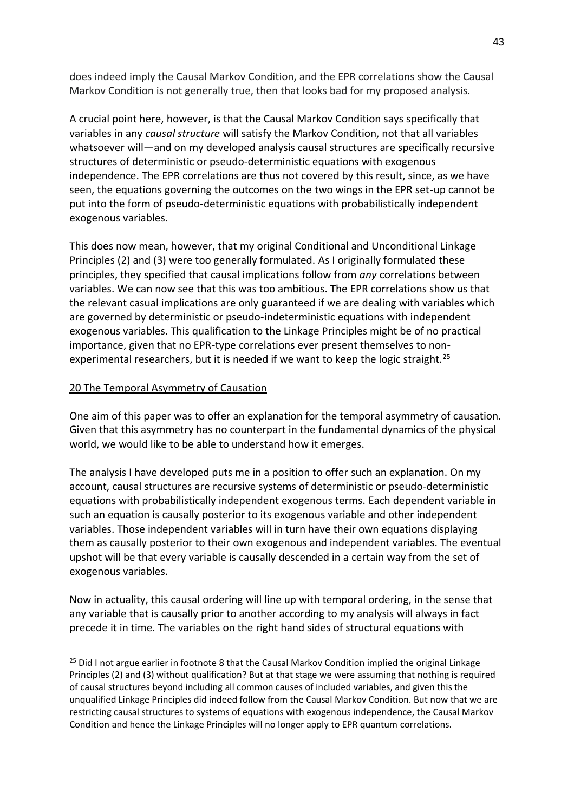does indeed imply the Causal Markov Condition, and the EPR correlations show the Causal Markov Condition is not generally true, then that looks bad for my proposed analysis.

A crucial point here, however, is that the Causal Markov Condition says specifically that variables in any *causal structure* will satisfy the Markov Condition, not that all variables whatsoever will—and on my developed analysis causal structures are specifically recursive structures of deterministic or pseudo-deterministic equations with exogenous independence. The EPR correlations are thus not covered by this result, since, as we have seen, the equations governing the outcomes on the two wings in the EPR set-up cannot be put into the form of pseudo-deterministic equations with probabilistically independent exogenous variables.

This does now mean, however, that my original Conditional and Unconditional Linkage Principles (2) and (3) were too generally formulated. As I originally formulated these principles, they specified that causal implications follow from *any* correlations between variables. We can now see that this was too ambitious. The EPR correlations show us that the relevant casual implications are only guaranteed if we are dealing with variables which are governed by deterministic or pseudo-indeterministic equations with independent exogenous variables. This qualification to the Linkage Principles might be of no practical importance, given that no EPR-type correlations ever present themselves to nonexperimental researchers, but it is needed if we want to keep the logic straight.<sup>25</sup>

## 20 The Temporal Asymmetry of Causation

One aim of this paper was to offer an explanation for the temporal asymmetry of causation. Given that this asymmetry has no counterpart in the fundamental dynamics of the physical world, we would like to be able to understand how it emerges.

The analysis I have developed puts me in a position to offer such an explanation. On my account, causal structures are recursive systems of deterministic or pseudo-deterministic equations with probabilistically independent exogenous terms. Each dependent variable in such an equation is causally posterior to its exogenous variable and other independent variables. Those independent variables will in turn have their own equations displaying them as causally posterior to their own exogenous and independent variables. The eventual upshot will be that every variable is causally descended in a certain way from the set of exogenous variables.

Now in actuality, this causal ordering will line up with temporal ordering, in the sense that any variable that is causally prior to another according to my analysis will always in fact precede it in time. The variables on the right hand sides of structural equations with

<sup>&</sup>lt;sup>25</sup> Did I not argue earlier in footnote 8 that the Causal Markov Condition implied the original Linkage Principles (2) and (3) without qualification? But at that stage we were assuming that nothing is required of causal structures beyond including all common causes of included variables, and given this the unqualified Linkage Principles did indeed follow from the Causal Markov Condition. But now that we are restricting causal structures to systems of equations with exogenous independence, the Causal Markov Condition and hence the Linkage Principles will no longer apply to EPR quantum correlations.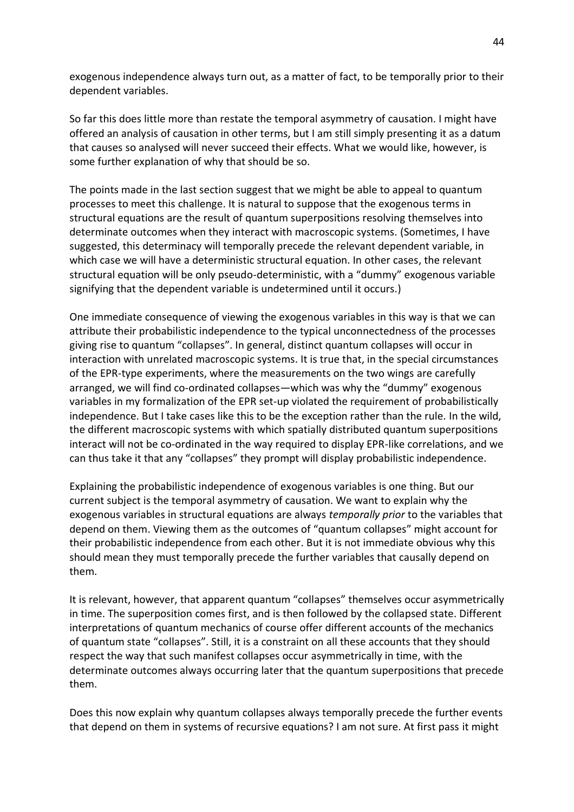exogenous independence always turn out, as a matter of fact, to be temporally prior to their dependent variables.

So far this does little more than restate the temporal asymmetry of causation. I might have offered an analysis of causation in other terms, but I am still simply presenting it as a datum that causes so analysed will never succeed their effects. What we would like, however, is some further explanation of why that should be so.

The points made in the last section suggest that we might be able to appeal to quantum processes to meet this challenge. It is natural to suppose that the exogenous terms in structural equations are the result of quantum superpositions resolving themselves into determinate outcomes when they interact with macroscopic systems. (Sometimes, I have suggested, this determinacy will temporally precede the relevant dependent variable, in which case we will have a deterministic structural equation. In other cases, the relevant structural equation will be only pseudo-deterministic, with a "dummy" exogenous variable signifying that the dependent variable is undetermined until it occurs.)

One immediate consequence of viewing the exogenous variables in this way is that we can attribute their probabilistic independence to the typical unconnectedness of the processes giving rise to quantum "collapses". In general, distinct quantum collapses will occur in interaction with unrelated macroscopic systems. It is true that, in the special circumstances of the EPR-type experiments, where the measurements on the two wings are carefully arranged, we will find co-ordinated collapses—which was why the "dummy" exogenous variables in my formalization of the EPR set-up violated the requirement of probabilistically independence. But I take cases like this to be the exception rather than the rule. In the wild, the different macroscopic systems with which spatially distributed quantum superpositions interact will not be co-ordinated in the way required to display EPR-like correlations, and we can thus take it that any "collapses" they prompt will display probabilistic independence.

Explaining the probabilistic independence of exogenous variables is one thing. But our current subject is the temporal asymmetry of causation. We want to explain why the exogenous variables in structural equations are always *temporally prior* to the variables that depend on them. Viewing them as the outcomes of "quantum collapses" might account for their probabilistic independence from each other. But it is not immediate obvious why this should mean they must temporally precede the further variables that causally depend on them.

It is relevant, however, that apparent quantum "collapses" themselves occur asymmetrically in time. The superposition comes first, and is then followed by the collapsed state. Different interpretations of quantum mechanics of course offer different accounts of the mechanics of quantum state "collapses". Still, it is a constraint on all these accounts that they should respect the way that such manifest collapses occur asymmetrically in time, with the determinate outcomes always occurring later that the quantum superpositions that precede them.

Does this now explain why quantum collapses always temporally precede the further events that depend on them in systems of recursive equations? I am not sure. At first pass it might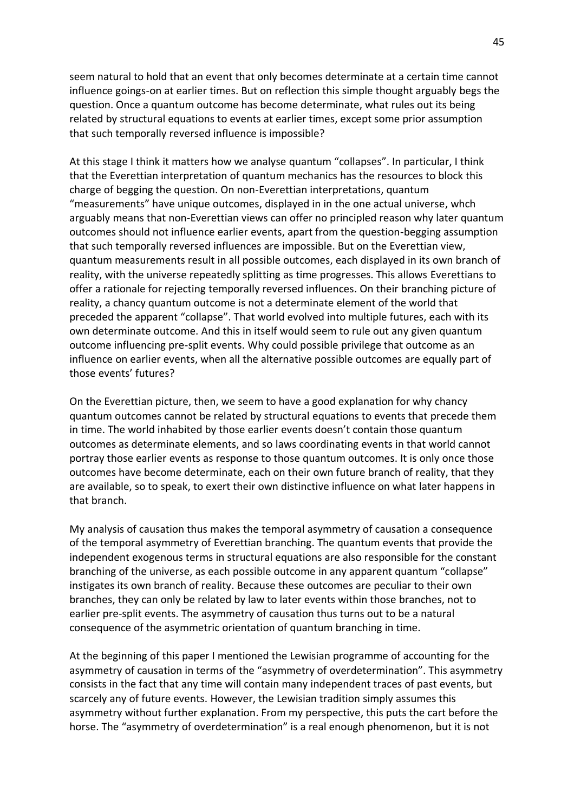seem natural to hold that an event that only becomes determinate at a certain time cannot influence goings-on at earlier times. But on reflection this simple thought arguably begs the question. Once a quantum outcome has become determinate, what rules out its being related by structural equations to events at earlier times, except some prior assumption that such temporally reversed influence is impossible?

At this stage I think it matters how we analyse quantum "collapses". In particular, I think that the Everettian interpretation of quantum mechanics has the resources to block this charge of begging the question. On non-Everettian interpretations, quantum "measurements" have unique outcomes, displayed in in the one actual universe, whch arguably means that non-Everettian views can offer no principled reason why later quantum outcomes should not influence earlier events, apart from the question-begging assumption that such temporally reversed influences are impossible. But on the Everettian view, quantum measurements result in all possible outcomes, each displayed in its own branch of reality, with the universe repeatedly splitting as time progresses. This allows Everettians to offer a rationale for rejecting temporally reversed influences. On their branching picture of reality, a chancy quantum outcome is not a determinate element of the world that preceded the apparent "collapse". That world evolved into multiple futures, each with its own determinate outcome. And this in itself would seem to rule out any given quantum outcome influencing pre-split events. Why could possible privilege that outcome as an influence on earlier events, when all the alternative possible outcomes are equally part of those events' futures?

On the Everettian picture, then, we seem to have a good explanation for why chancy quantum outcomes cannot be related by structural equations to events that precede them in time. The world inhabited by those earlier events doesn't contain those quantum outcomes as determinate elements, and so laws coordinating events in that world cannot portray those earlier events as response to those quantum outcomes. It is only once those outcomes have become determinate, each on their own future branch of reality, that they are available, so to speak, to exert their own distinctive influence on what later happens in that branch.

My analysis of causation thus makes the temporal asymmetry of causation a consequence of the temporal asymmetry of Everettian branching. The quantum events that provide the independent exogenous terms in structural equations are also responsible for the constant branching of the universe, as each possible outcome in any apparent quantum "collapse" instigates its own branch of reality. Because these outcomes are peculiar to their own branches, they can only be related by law to later events within those branches, not to earlier pre-split events. The asymmetry of causation thus turns out to be a natural consequence of the asymmetric orientation of quantum branching in time.

At the beginning of this paper I mentioned the Lewisian programme of accounting for the asymmetry of causation in terms of the "asymmetry of overdetermination". This asymmetry consists in the fact that any time will contain many independent traces of past events, but scarcely any of future events. However, the Lewisian tradition simply assumes this asymmetry without further explanation. From my perspective, this puts the cart before the horse. The "asymmetry of overdetermination" is a real enough phenomenon, but it is not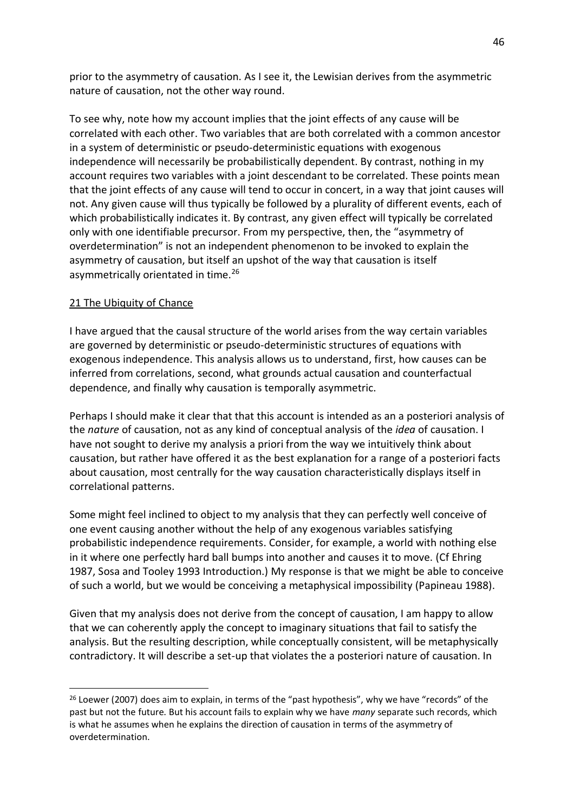prior to the asymmetry of causation. As I see it, the Lewisian derives from the asymmetric nature of causation, not the other way round.

To see why, note how my account implies that the joint effects of any cause will be correlated with each other. Two variables that are both correlated with a common ancestor in a system of deterministic or pseudo-deterministic equations with exogenous independence will necessarily be probabilistically dependent. By contrast, nothing in my account requires two variables with a joint descendant to be correlated. These points mean that the joint effects of any cause will tend to occur in concert, in a way that joint causes will not. Any given cause will thus typically be followed by a plurality of different events, each of which probabilistically indicates it. By contrast, any given effect will typically be correlated only with one identifiable precursor. From my perspective, then, the "asymmetry of overdetermination" is not an independent phenomenon to be invoked to explain the asymmetry of causation, but itself an upshot of the way that causation is itself asymmetrically orientated in time.<sup>26</sup>

# 21 The Ubiquity of Chance

I have argued that the causal structure of the world arises from the way certain variables are governed by deterministic or pseudo-deterministic structures of equations with exogenous independence. This analysis allows us to understand, first, how causes can be inferred from correlations, second, what grounds actual causation and counterfactual dependence, and finally why causation is temporally asymmetric.

Perhaps I should make it clear that that this account is intended as an a posteriori analysis of the *nature* of causation, not as any kind of conceptual analysis of the *idea* of causation. I have not sought to derive my analysis a priori from the way we intuitively think about causation, but rather have offered it as the best explanation for a range of a posteriori facts about causation, most centrally for the way causation characteristically displays itself in correlational patterns.

Some might feel inclined to object to my analysis that they can perfectly well conceive of one event causing another without the help of any exogenous variables satisfying probabilistic independence requirements. Consider, for example, a world with nothing else in it where one perfectly hard ball bumps into another and causes it to move. (Cf Ehring 1987, Sosa and Tooley 1993 Introduction.) My response is that we might be able to conceive of such a world, but we would be conceiving a metaphysical impossibility (Papineau 1988).

Given that my analysis does not derive from the concept of causation, I am happy to allow that we can coherently apply the concept to imaginary situations that fail to satisfy the analysis. But the resulting description, while conceptually consistent, will be metaphysically contradictory. It will describe a set-up that violates the a posteriori nature of causation. In

<sup>&</sup>lt;sup>26</sup> Loewer (2007) does aim to explain, in terms of the "past hypothesis", why we have "records" of the past but not the future. But his account fails to explain why we have *many* separate such records, which is what he assumes when he explains the direction of causation in terms of the asymmetry of overdetermination.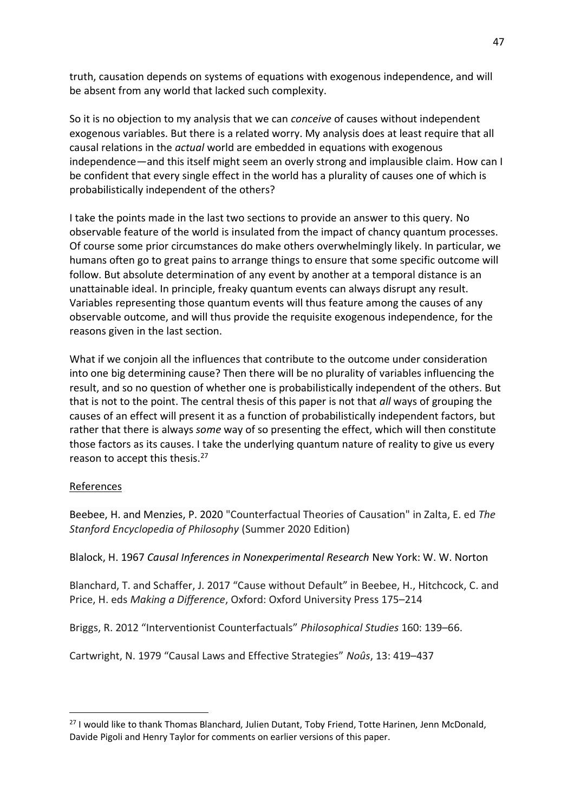truth, causation depends on systems of equations with exogenous independence, and will be absent from any world that lacked such complexity.

So it is no objection to my analysis that we can *conceive* of causes without independent exogenous variables. But there is a related worry. My analysis does at least require that all causal relations in the *actual* world are embedded in equations with exogenous independence—and this itself might seem an overly strong and implausible claim. How can I be confident that every single effect in the world has a plurality of causes one of which is probabilistically independent of the others?

I take the points made in the last two sections to provide an answer to this query. No observable feature of the world is insulated from the impact of chancy quantum processes. Of course some prior circumstances do make others overwhelmingly likely. In particular, we humans often go to great pains to arrange things to ensure that some specific outcome will follow. But absolute determination of any event by another at a temporal distance is an unattainable ideal. In principle, freaky quantum events can always disrupt any result. Variables representing those quantum events will thus feature among the causes of any observable outcome, and will thus provide the requisite exogenous independence, for the reasons given in the last section.

What if we conjoin all the influences that contribute to the outcome under consideration into one big determining cause? Then there will be no plurality of variables influencing the result, and so no question of whether one is probabilistically independent of the others. But that is not to the point. The central thesis of this paper is not that *all* ways of grouping the causes of an effect will present it as a function of probabilistically independent factors, but rather that there is always *some* way of so presenting the effect, which will then constitute those factors as its causes. I take the underlying quantum nature of reality to give us every reason to accept this thesis.<sup>27</sup>

## References

Beebee, H. and Menzies, P. 2020 "Counterfactual Theories of Causation" in Zalta, E. ed *The Stanford Encyclopedia of Philosophy* (Summer 2020 Edition)

Blalock, H. 1967 *Causal Inferences in Nonexperimental Research* New York: W. W. Norton

Blanchard, T. and Schaffer, J. 2017 "Cause without Default" in Beebee, H., Hitchcock, C. and Price, H. eds *Making a Difference*, Oxford: Oxford University Press 175–214

Briggs, R. 2012 "Interventionist Counterfactuals" *Philosophical Studies* 160: 139–66.

Cartwright, N. 1979 "Causal Laws and Effective Strategies" *Noûs*, 13: 419–437

<sup>&</sup>lt;sup>27</sup> I would like to thank Thomas Blanchard, Julien Dutant, Toby Friend, Totte Harinen, Jenn McDonald, Davide Pigoli and Henry Taylor for comments on earlier versions of this paper.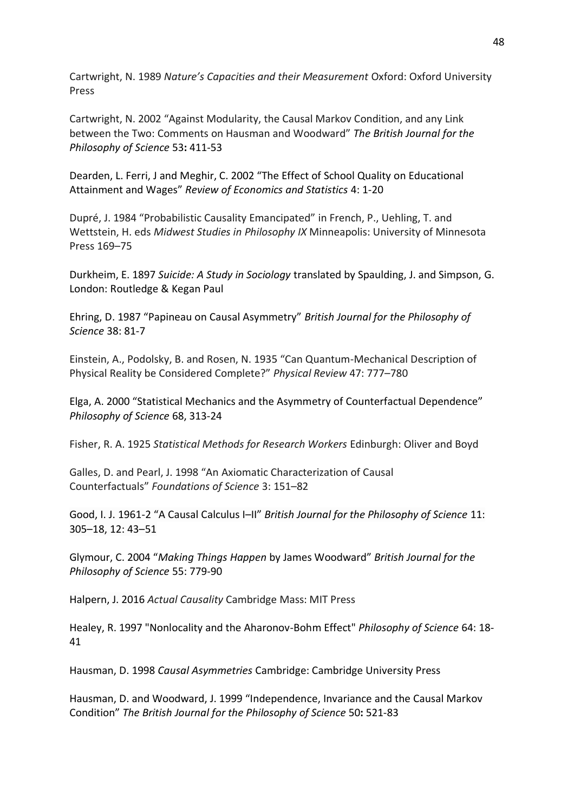Cartwright, N. 1989 *Nature's Capacities and their Measurement* Oxford: Oxford University Press

Cartwright, N. 2002 "Against Modularity, the Causal Markov Condition, and any Link between the Two: Comments on Hausman and Woodward" *The British Journal for the Philosophy of Science* 53**:** 411-53

Dearden, L. Ferri, J and Meghir, C. 2002 "The Effect of School Quality on Educational Attainment and Wages" *Review of Economics and Statistics* 4: 1-20

Dupré, J. 1984 "Probabilistic Causality Emancipated" in French, P., Uehling, T. and Wettstein, H. eds *Midwest Studies in Philosophy IX* Minneapolis: University of Minnesota Press 169–75

Durkheim, E. 1897 *Suicide: A Study in Sociology* translated by Spaulding, J. and Simpson, G. London: Routledge & Kegan Paul

Ehring, D. 1987 "Papineau on Causal Asymmetry" *British Journal for the Philosophy of Science* 38: 81-7

Einstein, A., Podolsky, B. and Rosen, N. 1935 "Can Quantum-Mechanical Description of Physical Reality be Considered Complete?" *Physical Review* 47: 777–780

Elga, A. 2000 "Statistical Mechanics and the Asymmetry of Counterfactual Dependence" *Philosophy of Science* 68, 313-24

Fisher, R. A. 1925 *Statistical Methods for Research Workers* Edinburgh: Oliver and Boyd

Galles, D. and Pearl, J. 1998 "An Axiomatic Characterization of Causal Counterfactuals" *Foundations of Science* 3: 151–82

Good, I. J. 1961-2 "A Causal Calculus I–II" *British Journal for the Philosophy of Science* 11: 305–18, 12: 43–51

Glymour, C. 2004 "*Making Things Happen* by James Woodward" *British Journal for the Philosophy of Science* 55: 779-90

Halpern, J. 2016 *Actual Causality* Cambridge Mass: MIT Press

Healey, R. 1997 "Nonlocality and the Aharonov-Bohm Effect" *Philosophy of Science* 64: 18- 41

Hausman, D. 1998 *Causal Asymmetries* Cambridge: Cambridge University Press

Hausman, D. and Woodward, J. 1999 "Independence, Invariance and the Causal Markov Condition" *The British Journal for the Philosophy of Science* 50**:** 521-83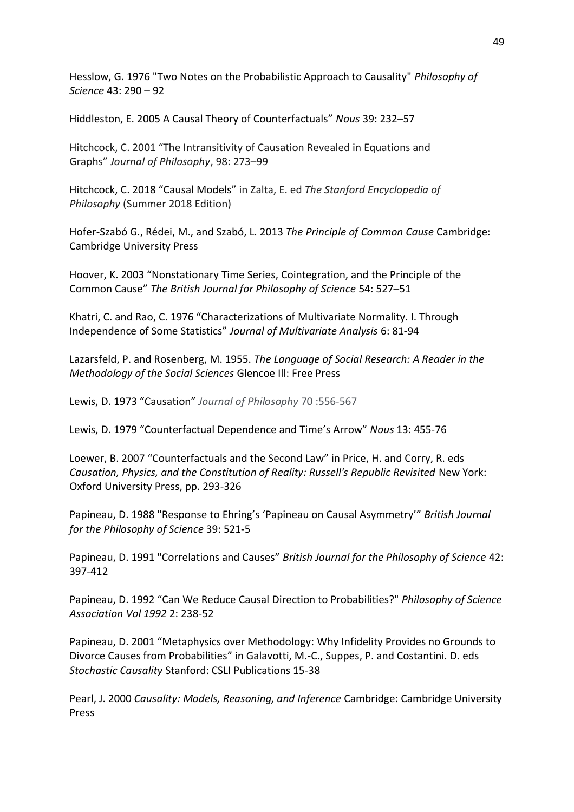Hesslow, G. 1976 "Two Notes on the Probabilistic Approach to Causality" *Philosophy of Science* 43: 290 – 92

Hiddleston, E. 2005 A Causal Theory of Counterfactuals" *Nous* 39: 232–57

Hitchcock, C. 2001 "The Intransitivity of Causation Revealed in Equations and Graphs" *Journal of Philosophy*, 98: 273–99

Hitchcock, C. 2018 "Causal Models" in Zalta, E. ed *The Stanford Encyclopedia of Philosophy* (Summer 2018 Edition)

Hofer-Szabó G., Rédei, M., and Szabó, L. 2013 *The Principle of Common Cause* Cambridge: Cambridge University Press

Hoover, K. 2003 "Nonstationary Time Series, Cointegration, and the Principle of the Common Cause" *The British Journal for Philosophy of Science* 54: 527–51

Khatri, C. and Rao, C. 1976 "Characterizations of Multivariate Normality. I. Through Independence of Some Statistics" *Journal of Multivariate Analysis* 6: 81-94

Lazarsfeld, P. and Rosenberg, M. 1955. *The Language of Social Research: A Reader in the Methodology of the Social Sciences* Glencoe Ill: Free Press

Lewis, D. 1973 "Causation" *Journal of Philosophy* 70 :556-567

Lewis, D. 1979 "Counterfactual Dependence and Time's Arrow" *Nous* 13: 455-76

Loewer, B. 2007 "Counterfactuals and the Second Law" in Price, H. and Corry, R. eds *Causation, Physics, and the Constitution of Reality: Russell's Republic Revisited* New York: Oxford University Press, pp. 293-326

Papineau, D. 1988 "Response to Ehring's 'Papineau on Causal Asymmetry'" *British Journal for the Philosophy of Science* 39: 521-5

Papineau, D. 1991 "Correlations and Causes" *British Journal for the Philosophy of Science* 42: 397-412

Papineau, D. 1992 "Can We Reduce Causal Direction to Probabilities?" *Philosophy of Science Association Vol 1992* 2: 238-52

Papineau, D. 2001 "Metaphysics over Methodology: Why Infidelity Provides no Grounds to Divorce Causes from Probabilities" in Galavotti, M.-C., Suppes, P. and Costantini. D. eds *Stochastic Causality* Stanford: CSLI Publications 15-38

Pearl, J. 2000 *Causality: Models, Reasoning, and Inference* Cambridge: Cambridge University Press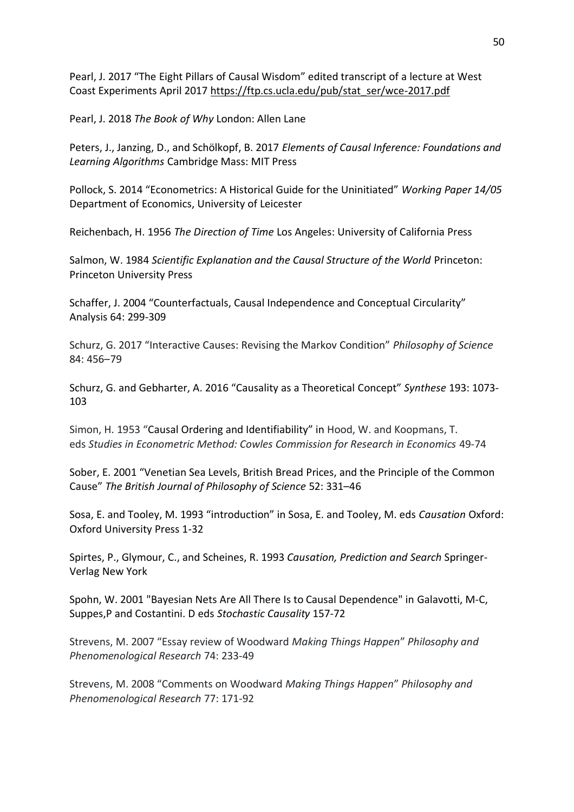Pearl, J. 2017 "The Eight Pillars of Causal Wisdom" edited transcript of a lecture at West Coast Experiments April 2017 [https://ftp.cs.ucla.edu/pub/stat\\_ser/wce-2017.pdf](https://ftp.cs.ucla.edu/pub/stat_ser/wce-2017.pdf)

Pearl, J. 2018 *The Book of Why* London: Allen Lane

Peters, J., Janzing, D., and Schölkopf, B. 2017 *Elements of Causal Inference: Foundations and Learning Algorithms* Cambridge Mass: MIT Press

Pollock, S. 2014 "Econometrics: A Historical Guide for the Uninitiated" *Working Paper 14/05* Department of Economics, University of Leicester

Reichenbach, H. 1956 *The Direction of Time* Los Angeles: University of California Press

Salmon, W. 1984 *Scientific Explanation and the Causal Structure of the World* Princeton: Princeton University Press

Schaffer, J. 2004 "Counterfactuals, Causal Independence and Conceptual Circularity" Analysis 64: 299-309

Schurz, G. 2017 "Interactive Causes: Revising the Markov Condition" *Philosophy of Science* 84: 456–79

Schurz, G. and Gebharter, A. 2016 "Causality as a Theoretical Concept" *Synthese* 193: 1073- 103

Simon, H. 1953 "Causal Ordering and Identifiability" in Hood, W. and Koopmans, T. eds *Studies in Econometric Method: Cowles Commission for Research in Economics* 49-74

Sober, E. 2001 "Venetian Sea Levels, British Bread Prices, and the Principle of the Common Cause" *The British Journal of Philosophy of Science* 52: 331–46

Sosa, E. and Tooley, M. 1993 "introduction" in Sosa, E. and Tooley, M. eds *Causation* Oxford: Oxford University Press 1-32

Spirtes, P., Glymour, C., and Scheines, R. 1993 *Causation, Prediction and Search* Springer-Verlag New York

Spohn, W. 2001 "Bayesian Nets Are All There Is to Causal Dependence" in Galavotti, M-C, Suppes,P and Costantini. D eds *Stochastic Causality* 157-72

Strevens, M. 2007 "Essay review of Woodward *Making Things Happen*" *Philosophy and Phenomenological Research* 74: 233-49

Strevens, M. 2008 "Comments on Woodward *Making Things Happen*" *Philosophy and Phenomenological Research* 77: 171-92